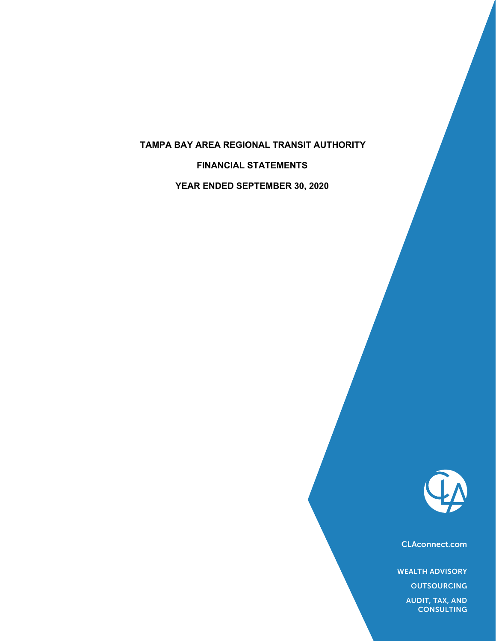# **TAMPA BAY AREA REGIONAL TRANSIT AUTHORITY**

# **FINANCIAL STATEMENTS**

**YEAR ENDED SEPTEMBER 30, 2020** 



CLAconnect.com

WEALTH ADVISORY

**OUTSOURCING** 

AUDIT, TAX, AND **CONSULTING**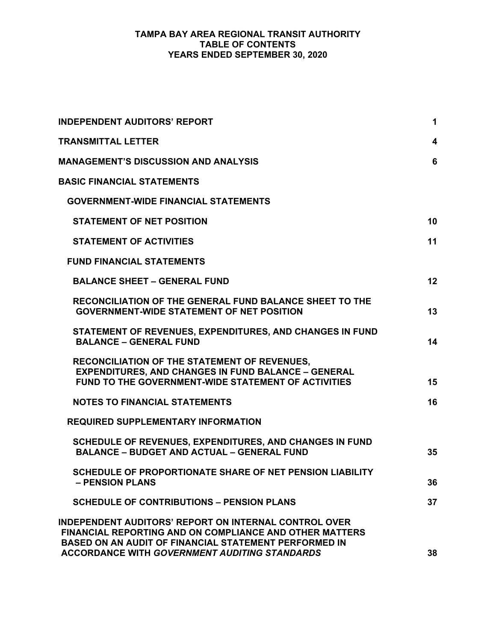# **TAMPA BAY AREA REGIONAL TRANSIT AUTHORITY TABLE OF CONTENTS YEARS ENDED SEPTEMBER 30, 2020**

| <b>INDEPENDENT AUDITORS' REPORT</b>                                                                                                                                                            | 1  |
|------------------------------------------------------------------------------------------------------------------------------------------------------------------------------------------------|----|
| TRANSMITTAL LETTER                                                                                                                                                                             | 4  |
| <b>MANAGEMENT'S DISCUSSION AND ANALYSIS</b>                                                                                                                                                    | 6  |
| <b>BASIC FINANCIAL STATEMENTS</b>                                                                                                                                                              |    |
| <b>GOVERNMENT-WIDE FINANCIAL STATEMENTS</b>                                                                                                                                                    |    |
| <b>STATEMENT OF NET POSITION</b>                                                                                                                                                               | 10 |
| <b>STATEMENT OF ACTIVITIES</b>                                                                                                                                                                 | 11 |
| <b>FUND FINANCIAL STATEMENTS</b>                                                                                                                                                               |    |
| <b>BALANCE SHEET - GENERAL FUND</b>                                                                                                                                                            | 12 |
| <b>RECONCILIATION OF THE GENERAL FUND BALANCE SHEET TO THE</b><br><b>GOVERNMENT-WIDE STATEMENT OF NET POSITION</b>                                                                             | 13 |
| STATEMENT OF REVENUES, EXPENDITURES, AND CHANGES IN FUND<br><b>BALANCE - GENERAL FUND</b>                                                                                                      | 14 |
| RECONCILIATION OF THE STATEMENT OF REVENUES,<br><b>EXPENDITURES, AND CHANGES IN FUND BALANCE - GENERAL</b><br>FUND TO THE GOVERNMENT-WIDE STATEMENT OF ACTIVITIES                              | 15 |
| <b>NOTES TO FINANCIAL STATEMENTS</b>                                                                                                                                                           | 16 |
| <b>REQUIRED SUPPLEMENTARY INFORMATION</b>                                                                                                                                                      |    |
| SCHEDULE OF REVENUES, EXPENDITURES, AND CHANGES IN FUND<br><b>BALANCE - BUDGET AND ACTUAL - GENERAL FUND</b>                                                                                   | 35 |
| SCHEDULE OF PROPORTIONATE SHARE OF NET PENSION LIABILITY<br>- PENSION PLANS                                                                                                                    | 36 |
| <b>SCHEDULE OF CONTRIBUTIONS - PENSION PLANS</b>                                                                                                                                               | 37 |
| <b>INDEPENDENT AUDITORS' REPORT ON INTERNAL CONTROL OVER</b><br><b>FINANCIAL REPORTING AND ON COMPLIANCE AND OTHER MATTERS</b><br><b>BASED ON AN AUDIT OF FINANCIAL STATEMENT PERFORMED IN</b> |    |
| <b>ACCORDANCE WITH GOVERNMENT AUDITING STANDARDS</b>                                                                                                                                           | 38 |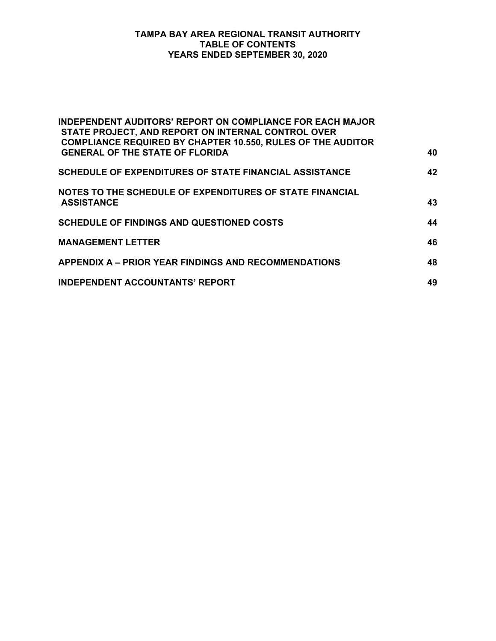# **TAMPA BAY AREA REGIONAL TRANSIT AUTHORITY TABLE OF CONTENTS YEARS ENDED SEPTEMBER 30, 2020**

| <b>INDEPENDENT AUDITORS' REPORT ON COMPLIANCE FOR EACH MAJOR</b><br>STATE PROJECT, AND REPORT ON INTERNAL CONTROL OVER<br><b>COMPLIANCE REQUIRED BY CHAPTER 10.550, RULES OF THE AUDITOR</b> |    |
|----------------------------------------------------------------------------------------------------------------------------------------------------------------------------------------------|----|
| <b>GENERAL OF THE STATE OF FLORIDA</b>                                                                                                                                                       | 40 |
| SCHEDULE OF EXPENDITURES OF STATE FINANCIAL ASSISTANCE                                                                                                                                       | 42 |
| NOTES TO THE SCHEDULE OF EXPENDITURES OF STATE FINANCIAL<br><b>ASSISTANCE</b>                                                                                                                | 43 |
| <b>SCHEDULE OF FINDINGS AND QUESTIONED COSTS</b>                                                                                                                                             | 44 |
| <b>MANAGEMENT LETTER</b>                                                                                                                                                                     | 46 |
| <b>APPENDIX A – PRIOR YEAR FINDINGS AND RECOMMENDATIONS</b>                                                                                                                                  | 48 |
| <b>INDEPENDENT ACCOUNTANTS' REPORT</b>                                                                                                                                                       | 49 |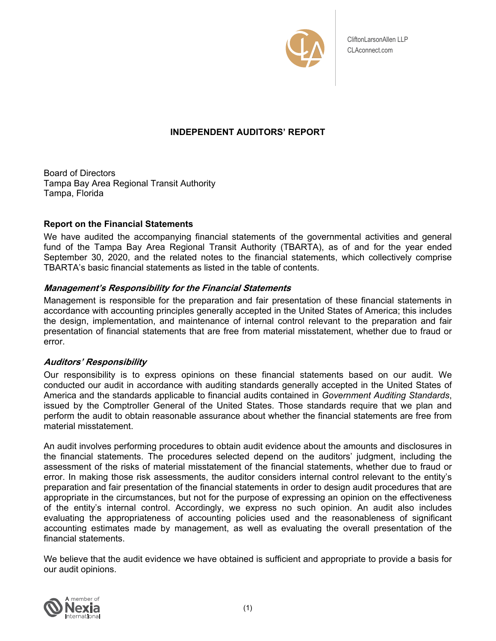

CliftonLarsonAllen LLP CLAconnect.com

# **INDEPENDENT AUDITORS' REPORT**

Board of Directors Tampa Bay Area Regional Transit Authority Tampa, Florida

# **Report on the Financial Statements**

We have audited the accompanying financial statements of the governmental activities and general fund of the Tampa Bay Area Regional Transit Authority (TBARTA), as of and for the year ended September 30, 2020, and the related notes to the financial statements, which collectively comprise TBARTA's basic financial statements as listed in the table of contents.

# **Management's Responsibility for the Financial Statements**

Management is responsible for the preparation and fair presentation of these financial statements in accordance with accounting principles generally accepted in the United States of America; this includes the design, implementation, and maintenance of internal control relevant to the preparation and fair presentation of financial statements that are free from material misstatement, whether due to fraud or error.

# **Auditors' Responsibility**

Our responsibility is to express opinions on these financial statements based on our audit. We conducted our audit in accordance with auditing standards generally accepted in the United States of America and the standards applicable to financial audits contained in *Government Auditing Standards*, issued by the Comptroller General of the United States. Those standards require that we plan and perform the audit to obtain reasonable assurance about whether the financial statements are free from material misstatement.

An audit involves performing procedures to obtain audit evidence about the amounts and disclosures in the financial statements. The procedures selected depend on the auditors' judgment, including the assessment of the risks of material misstatement of the financial statements, whether due to fraud or error. In making those risk assessments, the auditor considers internal control relevant to the entity's preparation and fair presentation of the financial statements in order to design audit procedures that are appropriate in the circumstances, but not for the purpose of expressing an opinion on the effectiveness of the entity's internal control. Accordingly, we express no such opinion. An audit also includes evaluating the appropriateness of accounting policies used and the reasonableness of significant accounting estimates made by management, as well as evaluating the overall presentation of the financial statements.

We believe that the audit evidence we have obtained is sufficient and appropriate to provide a basis for our audit opinions.

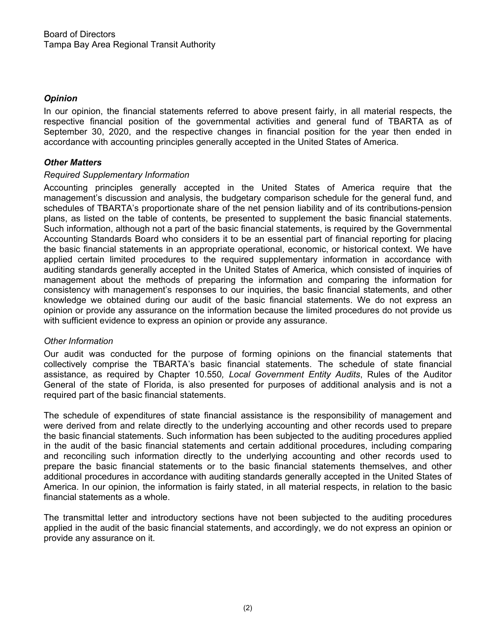# *Opinion*

In our opinion, the financial statements referred to above present fairly, in all material respects, the respective financial position of the governmental activities and general fund of TBARTA as of September 30, 2020, and the respective changes in financial position for the year then ended in accordance with accounting principles generally accepted in the United States of America.

# *Other Matters*

# *Required Supplementary Information*

Accounting principles generally accepted in the United States of America require that the management's discussion and analysis, the budgetary comparison schedule for the general fund, and schedules of TBARTA's proportionate share of the net pension liability and of its contributions-pension plans, as listed on the table of contents, be presented to supplement the basic financial statements. Such information, although not a part of the basic financial statements, is required by the Governmental Accounting Standards Board who considers it to be an essential part of financial reporting for placing the basic financial statements in an appropriate operational, economic, or historical context. We have applied certain limited procedures to the required supplementary information in accordance with auditing standards generally accepted in the United States of America, which consisted of inquiries of management about the methods of preparing the information and comparing the information for consistency with management's responses to our inquiries, the basic financial statements, and other knowledge we obtained during our audit of the basic financial statements. We do not express an opinion or provide any assurance on the information because the limited procedures do not provide us with sufficient evidence to express an opinion or provide any assurance.

# *Other Information*

Our audit was conducted for the purpose of forming opinions on the financial statements that collectively comprise the TBARTA's basic financial statements. The schedule of state financial assistance, as required by Chapter 10.550*, Local Government Entity Audits*, Rules of the Auditor General of the state of Florida, is also presented for purposes of additional analysis and is not a required part of the basic financial statements.

The schedule of expenditures of state financial assistance is the responsibility of management and were derived from and relate directly to the underlying accounting and other records used to prepare the basic financial statements. Such information has been subjected to the auditing procedures applied in the audit of the basic financial statements and certain additional procedures, including comparing and reconciling such information directly to the underlying accounting and other records used to prepare the basic financial statements or to the basic financial statements themselves, and other additional procedures in accordance with auditing standards generally accepted in the United States of America. In our opinion, the information is fairly stated, in all material respects, in relation to the basic financial statements as a whole.

The transmittal letter and introductory sections have not been subjected to the auditing procedures applied in the audit of the basic financial statements, and accordingly, we do not express an opinion or provide any assurance on it.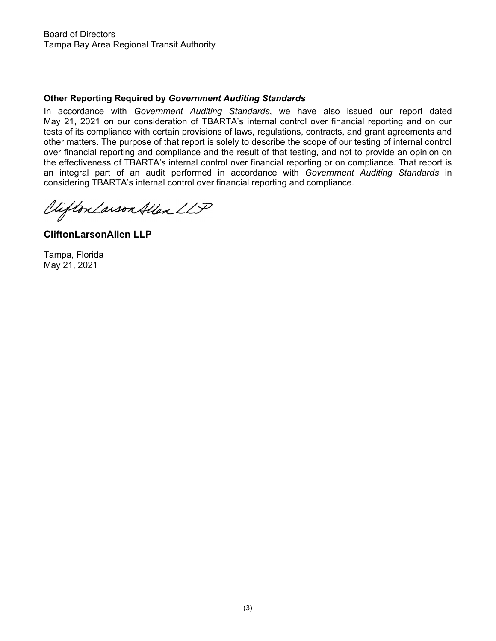# **Other Reporting Required by** *Government Auditing Standards*

In accordance with *Government Auditing Standards*, we have also issued our report dated May 21, 2021 on our consideration of TBARTA's internal control over financial reporting and on our tests of its compliance with certain provisions of laws, regulations, contracts, and grant agreements and other matters. The purpose of that report is solely to describe the scope of our testing of internal control over financial reporting and compliance and the result of that testing, and not to provide an opinion on the effectiveness of TBARTA's internal control over financial reporting or on compliance. That report is an integral part of an audit performed in accordance with *Government Auditing Standards* in considering TBARTA's internal control over financial reporting and compliance.

Clifton Larson Allen LLP

**CliftonLarsonAllen LLP** 

Tampa, Florida May 21, 2021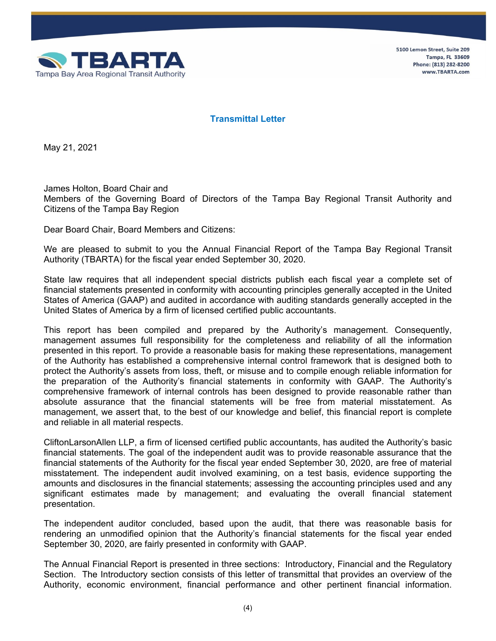

**Transmittal Letter** 

May 21, 2021

James Holton, Board Chair and Members of the Governing Board of Directors of the Tampa Bay Regional Transit Authority and Citizens of the Tampa Bay Region

Dear Board Chair, Board Members and Citizens:

We are pleased to submit to you the Annual Financial Report of the Tampa Bay Regional Transit Authority (TBARTA) for the fiscal year ended September 30, 2020.

State law requires that all independent special districts publish each fiscal year a complete set of financial statements presented in conformity with accounting principles generally accepted in the United States of America (GAAP) and audited in accordance with auditing standards generally accepted in the United States of America by a firm of licensed certified public accountants.

This report has been compiled and prepared by the Authority's management. Consequently, management assumes full responsibility for the completeness and reliability of all the information presented in this report. To provide a reasonable basis for making these representations, management of the Authority has established a comprehensive internal control framework that is designed both to protect the Authority's assets from loss, theft, or misuse and to compile enough reliable information for the preparation of the Authority's financial statements in conformity with GAAP. The Authority's comprehensive framework of internal controls has been designed to provide reasonable rather than absolute assurance that the financial statements will be free from material misstatement. As management, we assert that, to the best of our knowledge and belief, this financial report is complete and reliable in all material respects.

CliftonLarsonAllen LLP, a firm of licensed certified public accountants, has audited the Authority's basic financial statements. The goal of the independent audit was to provide reasonable assurance that the financial statements of the Authority for the fiscal year ended September 30, 2020, are free of material misstatement. The independent audit involved examining, on a test basis, evidence supporting the amounts and disclosures in the financial statements; assessing the accounting principles used and any significant estimates made by management; and evaluating the overall financial statement presentation.

The independent auditor concluded, based upon the audit, that there was reasonable basis for rendering an unmodified opinion that the Authority's financial statements for the fiscal year ended September 30, 2020, are fairly presented in conformity with GAAP.

The Annual Financial Report is presented in three sections: Introductory, Financial and the Regulatory Section. The Introductory section consists of this letter of transmittal that provides an overview of the Authority, economic environment, financial performance and other pertinent financial information.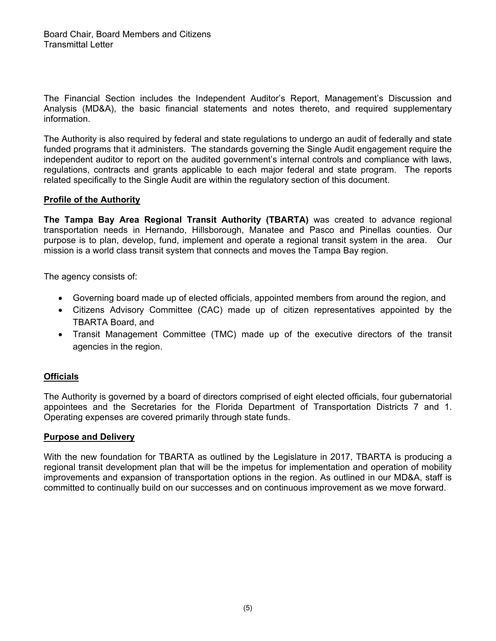The Financial Section includes the Independent Auditor's Report, Management's Discussion and Analysis (MD&A), the basic financial statements and notes thereto, and required supplementary information.

The Authority is also required by federal and state regulations to undergo an audit of federally and state funded programs that it administers. The standards governing the Single Audit engagement require the independent auditor to report on the audited government's internal controls and compliance with laws, regulations, contracts and grants applicable to each major federal and state program. The reports related specifically to the Single Audit are within the regulatory section of this document.

# **Profile of the Authority**

**The Tampa Bay Area Regional Transit Authority (TBARTA)** was created to advance regional transportation needs in Hernando, Hillsborough, Manatee and Pasco and Pinellas counties. Our purpose is to plan, develop, fund, implement and operate a regional transit system in the area. Our mission is a world class transit system that connects and moves the Tampa Bay region.

The agency consists of:

- Governing board made up of elected officials, appointed members from around the region, and
- Citizens Advisory Committee (CAC) made up of citizen representatives appointed by the TBARTA Board, and
- Transit Management Committee (TMC) made up of the executive directors of the transit agencies in the region.

# **Officials**

The Authority is governed by a board of directors comprised of eight elected officials, four gubernatorial appointees and the Secretaries for the Florida Department of Transportation Districts 7 and 1. Operating expenses are covered primarily through state funds.

# **Purpose and Delivery**

With the new foundation for TBARTA as outlined by the Legislature in 2017, TBARTA is producing a regional transit development plan that will be the impetus for implementation and operation of mobility improvements and expansion of transportation options in the region. As outlined in our MD&A, staff is committed to continually build on our successes and on continuous improvement as we move forward.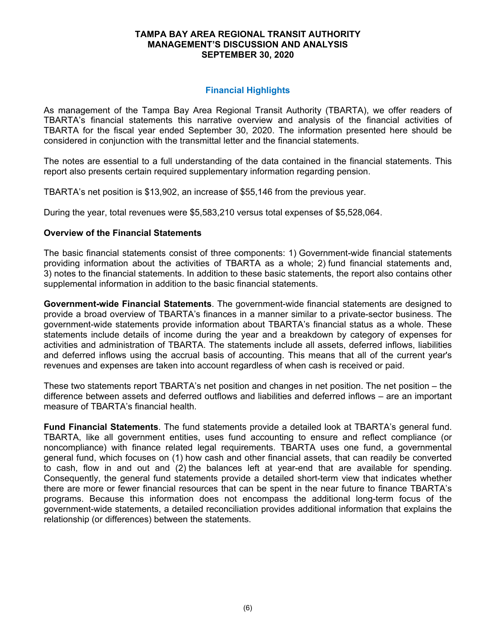# **Financial Highlights**

As management of the Tampa Bay Area Regional Transit Authority (TBARTA), we offer readers of TBARTA's financial statements this narrative overview and analysis of the financial activities of TBARTA for the fiscal year ended September 30, 2020. The information presented here should be considered in conjunction with the transmittal letter and the financial statements.

The notes are essential to a full understanding of the data contained in the financial statements. This report also presents certain required supplementary information regarding pension.

TBARTA's net position is \$13,902, an increase of \$55,146 from the previous year.

During the year, total revenues were \$5,583,210 versus total expenses of \$5,528,064.

# **Overview of the Financial Statements**

The basic financial statements consist of three components: 1) Government-wide financial statements providing information about the activities of TBARTA as a whole; 2) fund financial statements and, 3) notes to the financial statements. In addition to these basic statements, the report also contains other supplemental information in addition to the basic financial statements.

**Government-wide Financial Statements**. The government-wide financial statements are designed to provide a broad overview of TBARTA's finances in a manner similar to a private-sector business. The government-wide statements provide information about TBARTA's financial status as a whole. These statements include details of income during the year and a breakdown by category of expenses for activities and administration of TBARTA. The statements include all assets, deferred inflows, liabilities and deferred inflows using the accrual basis of accounting. This means that all of the current year's revenues and expenses are taken into account regardless of when cash is received or paid.

These two statements report TBARTA's net position and changes in net position. The net position – the difference between assets and deferred outflows and liabilities and deferred inflows – are an important measure of TBARTA's financial health.

**Fund Financial Statements**. The fund statements provide a detailed look at TBARTA's general fund. TBARTA, like all government entities, uses fund accounting to ensure and reflect compliance (or noncompliance) with finance related legal requirements. TBARTA uses one fund, a governmental general fund, which focuses on (1) how cash and other financial assets, that can readily be converted to cash, flow in and out and (2) the balances left at year-end that are available for spending. Consequently, the general fund statements provide a detailed short-term view that indicates whether there are more or fewer financial resources that can be spent in the near future to finance TBARTA's programs. Because this information does not encompass the additional long-term focus of the government-wide statements, a detailed reconciliation provides additional information that explains the relationship (or differences) between the statements.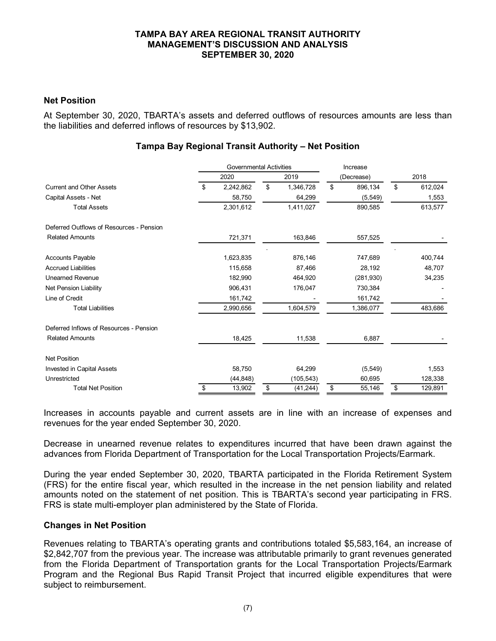# **Net Position**

At September 30, 2020, TBARTA's assets and deferred outflows of resources amounts are less than the liabilities and deferred inflows of resources by \$13,902.

|                                          | <b>Governmental Activities</b> |           |      | Increase   |            |            |      |         |
|------------------------------------------|--------------------------------|-----------|------|------------|------------|------------|------|---------|
|                                          | 2020                           |           | 2019 |            | (Decrease) |            | 2018 |         |
| <b>Current and Other Assets</b>          | \$                             | 2,242,862 | \$   | 1,346,728  | \$         | 896,134    | \$   | 612,024 |
| Capital Assets - Net                     |                                | 58,750    |      | 64,299     |            | (5, 549)   |      | 1,553   |
| <b>Total Assets</b>                      |                                | 2,301,612 |      | 1,411,027  |            | 890,585    |      | 613,577 |
| Deferred Outflows of Resources - Pension |                                |           |      |            |            |            |      |         |
| <b>Related Amounts</b>                   |                                | 721,371   |      | 163,846    |            | 557,525    |      |         |
| <b>Accounts Payable</b>                  |                                | 1,623,835 |      | 876,146    |            | 747,689    |      | 400,744 |
| <b>Accrued Liabilities</b>               |                                | 115,658   |      | 87,466     |            | 28,192     |      | 48,707  |
| <b>Unearned Revenue</b>                  |                                | 182,990   |      | 464,920    |            | (281, 930) |      | 34,235  |
| Net Pension Liability                    |                                | 906,431   |      | 176,047    |            | 730,384    |      |         |
| Line of Credit                           |                                | 161,742   |      |            |            | 161,742    |      |         |
| <b>Total Liabilities</b>                 |                                | 2,990,656 |      | 1,604,579  |            | 1,386,077  |      | 483,686 |
| Deferred Inflows of Resources - Pension  |                                |           |      |            |            |            |      |         |
| <b>Related Amounts</b>                   |                                | 18,425    |      | 11,538     |            | 6,887      |      |         |
| <b>Net Position</b>                      |                                |           |      |            |            |            |      |         |
| Invested in Capital Assets               |                                | 58,750    |      | 64,299     |            | (5, 549)   |      | 1,553   |
| Unrestricted                             |                                | (44, 848) |      | (105, 543) |            | 60,695     |      | 128,338 |
| <b>Total Net Position</b>                | \$                             | 13,902    | \$   | (41, 244)  | \$         | 55,146     | \$   | 129,891 |

# **Tampa Bay Regional Transit Authority – Net Position**

Increases in accounts payable and current assets are in line with an increase of expenses and revenues for the year ended September 30, 2020.

Decrease in unearned revenue relates to expenditures incurred that have been drawn against the advances from Florida Department of Transportation for the Local Transportation Projects/Earmark.

During the year ended September 30, 2020, TBARTA participated in the Florida Retirement System (FRS) for the entire fiscal year, which resulted in the increase in the net pension liability and related amounts noted on the statement of net position. This is TBARTA's second year participating in FRS. FRS is state multi-employer plan administered by the State of Florida.

# **Changes in Net Position**

Revenues relating to TBARTA's operating grants and contributions totaled \$5,583,164, an increase of \$2,842,707 from the previous year. The increase was attributable primarily to grant revenues generated from the Florida Department of Transportation grants for the Local Transportation Projects/Earmark Program and the Regional Bus Rapid Transit Project that incurred eligible expenditures that were subject to reimbursement.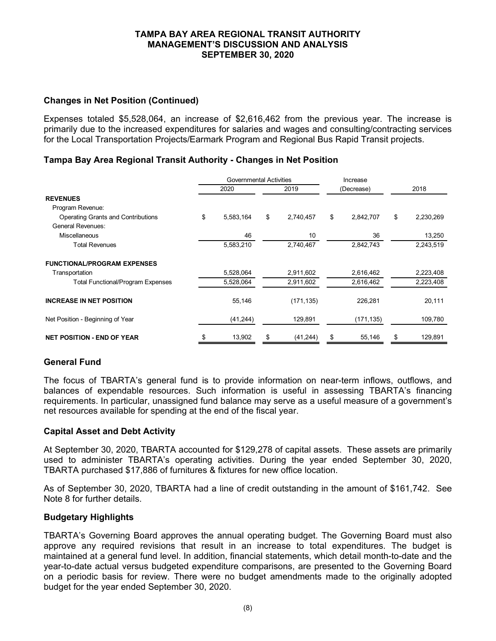# **Changes in Net Position (Continued)**

Expenses totaled \$5,528,064, an increase of \$2,616,462 from the previous year. The increase is primarily due to the increased expenditures for salaries and wages and consulting/contracting services for the Local Transportation Projects/Earmark Program and Regional Bus Rapid Transit projects.

# **Tampa Bay Area Regional Transit Authority - Changes in Net Position**

|                                           | <b>Governmental Activities</b> |           |    | Increase   |    |            |    |           |
|-------------------------------------------|--------------------------------|-----------|----|------------|----|------------|----|-----------|
|                                           | 2020                           |           |    | 2019       |    | (Decrease) |    | 2018      |
| <b>REVENUES</b>                           |                                |           |    |            |    |            |    |           |
| Program Revenue:                          |                                |           |    |            |    |            |    |           |
| <b>Operating Grants and Contributions</b> | \$                             | 5,583,164 | \$ | 2,740,457  | \$ | 2,842,707  | \$ | 2,230,269 |
| General Revenues:                         |                                |           |    |            |    |            |    |           |
| <b>Miscellaneous</b>                      |                                | 46        |    | 10         |    | 36         |    | 13,250    |
| <b>Total Revenues</b>                     |                                | 5,583,210 |    | 2,740,467  |    | 2,842,743  |    | 2,243,519 |
| <b>FUNCTIONAL/PROGRAM EXPENSES</b>        |                                |           |    |            |    |            |    |           |
| Transportation                            |                                | 5,528,064 |    | 2,911,602  |    | 2,616,462  |    | 2,223,408 |
| <b>Total Functional/Program Expenses</b>  |                                | 5,528,064 |    | 2,911,602  |    | 2,616,462  |    | 2,223,408 |
| <b>INCREASE IN NET POSITION</b>           |                                | 55,146    |    | (171, 135) |    | 226,281    |    | 20,111    |
| Net Position - Beginning of Year          |                                | (41, 244) |    | 129,891    |    | (171, 135) |    | 109,780   |
| <b>NET POSITION - END OF YEAR</b>         |                                | 13,902    | S  | (41, 244)  | S  | 55,146     | \$ | 129,891   |

# **General Fund**

The focus of TBARTA's general fund is to provide information on near-term inflows, outflows, and balances of expendable resources. Such information is useful in assessing TBARTA's financing requirements. In particular, unassigned fund balance may serve as a useful measure of a government's net resources available for spending at the end of the fiscal year.

#### **Capital Asset and Debt Activity**

At September 30, 2020, TBARTA accounted for \$129,278 of capital assets. These assets are primarily used to administer TBARTA's operating activities. During the year ended September 30, 2020, TBARTA purchased \$17,886 of furnitures & fixtures for new office location.

As of September 30, 2020, TBARTA had a line of credit outstanding in the amount of \$161,742. See Note 8 for further details.

#### **Budgetary Highlights**

TBARTA's Governing Board approves the annual operating budget. The Governing Board must also approve any required revisions that result in an increase to total expenditures. The budget is maintained at a general fund level. In addition, financial statements, which detail month-to-date and the year-to-date actual versus budgeted expenditure comparisons, are presented to the Governing Board on a periodic basis for review. There were no budget amendments made to the originally adopted budget for the year ended September 30, 2020.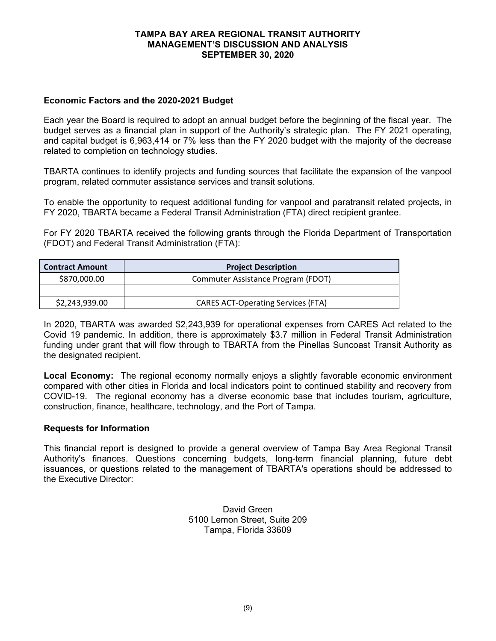# **Economic Factors and the 2020-2021 Budget**

Each year the Board is required to adopt an annual budget before the beginning of the fiscal year. The budget serves as a financial plan in support of the Authority's strategic plan. The FY 2021 operating, and capital budget is 6,963,414 or 7% less than the FY 2020 budget with the majority of the decrease related to completion on technology studies.

TBARTA continues to identify projects and funding sources that facilitate the expansion of the vanpool program, related commuter assistance services and transit solutions.

To enable the opportunity to request additional funding for vanpool and paratransit related projects, in FY 2020, TBARTA became a Federal Transit Administration (FTA) direct recipient grantee.

For FY 2020 TBARTA received the following grants through the Florida Department of Transportation (FDOT) and Federal Transit Administration (FTA):

| <b>Contract Amount</b> | <b>Project Description</b>                |
|------------------------|-------------------------------------------|
| \$870,000.00           | Commuter Assistance Program (FDOT)        |
|                        |                                           |
| \$2,243,939.00         | <b>CARES ACT-Operating Services (FTA)</b> |

In 2020, TBARTA was awarded \$2,243,939 for operational expenses from CARES Act related to the Covid 19 pandemic. In addition, there is approximately \$3.7 million in Federal Transit Administration funding under grant that will flow through to TBARTA from the Pinellas Suncoast Transit Authority as the designated recipient.

**Local Economy:** The regional economy normally enjoys a slightly favorable economic environment compared with other cities in Florida and local indicators point to continued stability and recovery from COVID-19. The regional economy has a diverse economic base that includes tourism, agriculture, construction, finance, healthcare, technology, and the Port of Tampa.

#### **Requests for Information**

This financial report is designed to provide a general overview of Tampa Bay Area Regional Transit Authority's finances. Questions concerning budgets, long-term financial planning, future debt issuances, or questions related to the management of TBARTA's operations should be addressed to the Executive Director:

> David Green 5100 Lemon Street, Suite 209 Tampa, Florida 33609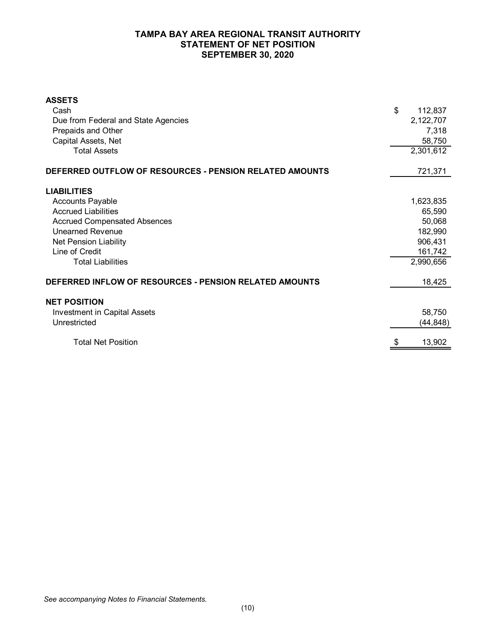# **TAMPA BAY AREA REGIONAL TRANSIT AUTHORITY STATEMENT OF NET POSITION SEPTEMBER 30, 2020**

| <b>ASSETS</b>                                           |               |
|---------------------------------------------------------|---------------|
| Cash                                                    | \$<br>112,837 |
| Due from Federal and State Agencies                     | 2,122,707     |
| Prepaids and Other                                      | 7,318         |
| Capital Assets, Net                                     | 58,750        |
| <b>Total Assets</b>                                     | 2,301,612     |
| DEFERRED OUTFLOW OF RESOURCES - PENSION RELATED AMOUNTS | 721,371       |
| <b>LIABILITIES</b>                                      |               |
| <b>Accounts Payable</b>                                 | 1,623,835     |
| <b>Accrued Liabilities</b>                              | 65,590        |
| <b>Accrued Compensated Absences</b>                     | 50,068        |
| <b>Unearned Revenue</b>                                 | 182,990       |
| Net Pension Liability                                   | 906,431       |
| Line of Credit                                          | 161,742       |
| <b>Total Liabilities</b>                                | 2,990,656     |
| DEFERRED INFLOW OF RESOURCES - PENSION RELATED AMOUNTS  | 18,425        |
| <b>NET POSITION</b>                                     |               |
| Investment in Capital Assets                            | 58,750        |
| Unrestricted                                            | (44, 848)     |
| <b>Total Net Position</b>                               | \$<br>13,902  |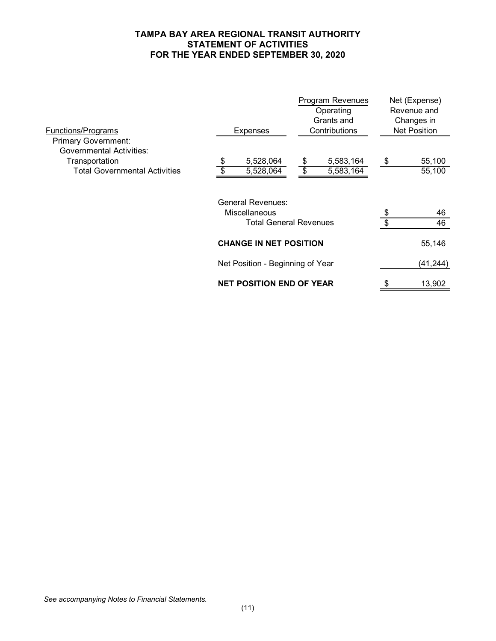# **TAMPA BAY AREA REGIONAL TRANSIT AUTHORITY STATEMENT OF ACTIVITIES FOR THE YEAR ENDED SEPTEMBER 30, 2020**

| <b>Functions/Programs</b>                  |                                                                            | <b>Expenses</b>                 |                          | Program Revenues<br>Operating<br>Grants and<br>Contributions | Net (Expense)<br>Revenue and<br>Changes in<br><b>Net Position</b> |           |  |
|--------------------------------------------|----------------------------------------------------------------------------|---------------------------------|--------------------------|--------------------------------------------------------------|-------------------------------------------------------------------|-----------|--|
| <b>Primary Government:</b>                 |                                                                            |                                 |                          |                                                              |                                                                   |           |  |
| Governmental Activities:<br>Transportation | \$                                                                         | 5,528,064                       | \$                       | 5,583,164                                                    | \$                                                                | 55,100    |  |
| <b>Total Governmental Activities</b>       |                                                                            | 5,528,064                       | $\overline{\mathcal{S}}$ | 5,583,164                                                    |                                                                   | 55,100    |  |
|                                            | <b>General Revenues:</b><br>Miscellaneous<br><b>Total General Revenues</b> |                                 |                          |                                                              | \$<br>\$                                                          | 46<br>46  |  |
|                                            | <b>CHANGE IN NET POSITION</b>                                              |                                 |                          |                                                              |                                                                   | 55,146    |  |
|                                            | Net Position - Beginning of Year                                           |                                 |                          |                                                              |                                                                   | (41, 244) |  |
|                                            |                                                                            | <b>NET POSITION END OF YEAR</b> |                          |                                                              |                                                                   | 13,902    |  |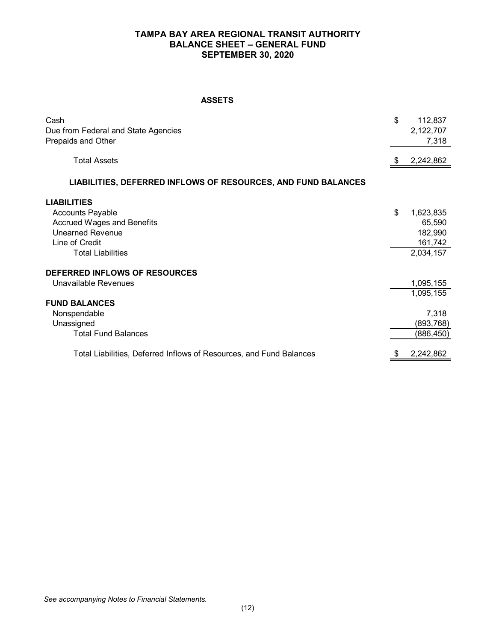# **TAMPA BAY AREA REGIONAL TRANSIT AUTHORITY BALANCE SHEET – GENERAL FUND SEPTEMBER 30, 2020**

#### **ASSETS**

| Cash                                                                 | \$<br>112,837   |
|----------------------------------------------------------------------|-----------------|
| Due from Federal and State Agencies                                  | 2,122,707       |
| Prepaids and Other                                                   | 7,318           |
| <b>Total Assets</b>                                                  | 2,242,862       |
| <b>LIABILITIES, DEFERRED INFLOWS OF RESOURCES, AND FUND BALANCES</b> |                 |
| <b>LIABILITIES</b>                                                   |                 |
| <b>Accounts Payable</b>                                              | \$<br>1,623,835 |
| <b>Accrued Wages and Benefits</b>                                    | 65,590          |
| <b>Unearned Revenue</b>                                              | 182,990         |
| Line of Credit                                                       | 161,742         |
| <b>Total Liabilities</b>                                             | 2,034,157       |
| DEFERRED INFLOWS OF RESOURCES                                        |                 |
| Unavailable Revenues                                                 | 1,095,155       |
|                                                                      | 1,095,155       |
| <b>FUND BALANCES</b>                                                 |                 |
| Nonspendable                                                         | 7,318           |
| Unassigned                                                           | (893, 768)      |
| <b>Total Fund Balances</b>                                           | (886, 450)      |
| Total Liabilities, Deferred Inflows of Resources, and Fund Balances  | 2,242,862       |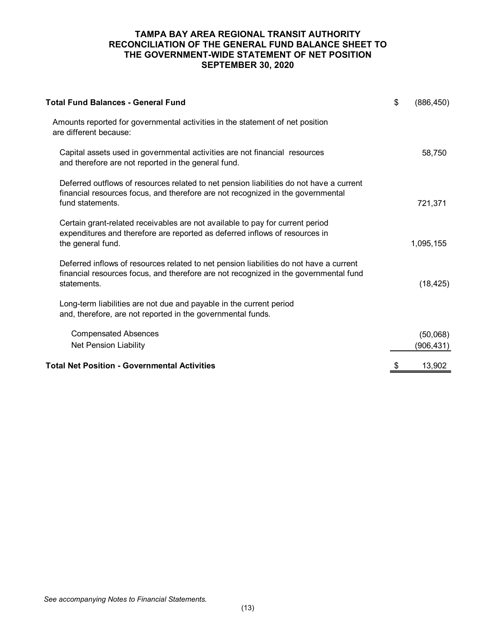# **TAMPA BAY AREA REGIONAL TRANSIT AUTHORITY RECONCILIATION OF THE GENERAL FUND BALANCE SHEET TO THE GOVERNMENT-WIDE STATEMENT OF NET POSITION SEPTEMBER 30, 2020**

| <b>Total Fund Balances - General Fund</b>                                                                                                                                                      | \$<br>(886, 450)      |
|------------------------------------------------------------------------------------------------------------------------------------------------------------------------------------------------|-----------------------|
| Amounts reported for governmental activities in the statement of net position<br>are different because:                                                                                        |                       |
| Capital assets used in governmental activities are not financial resources<br>and therefore are not reported in the general fund.                                                              | 58,750                |
| Deferred outflows of resources related to net pension liabilities do not have a current<br>financial resources focus, and therefore are not recognized in the governmental<br>fund statements. | 721,371               |
| Certain grant-related receivables are not available to pay for current period<br>expenditures and therefore are reported as deferred inflows of resources in<br>the general fund.              | 1,095,155             |
| Deferred inflows of resources related to net pension liabilities do not have a current<br>financial resources focus, and therefore are not recognized in the governmental fund<br>statements.  | (18, 425)             |
| Long-term liabilities are not due and payable in the current period<br>and, therefore, are not reported in the governmental funds.                                                             |                       |
| <b>Compensated Absences</b><br>Net Pension Liability                                                                                                                                           | (50,068)<br>(906,431) |
| <b>Total Net Position - Governmental Activities</b>                                                                                                                                            | \$<br>13,902          |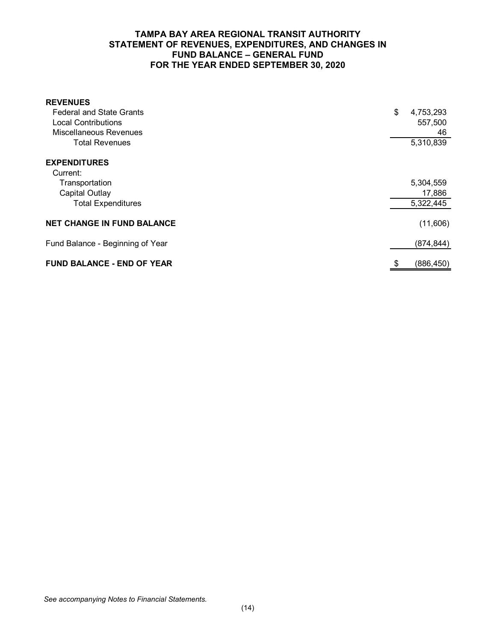#### **TAMPA BAY AREA REGIONAL TRANSIT AUTHORITY STATEMENT OF REVENUES, EXPENDITURES, AND CHANGES IN FUND BALANCE – GENERAL FUND FOR THE YEAR ENDED SEPTEMBER 30, 2020**

| <b>REVENUES</b>                   |                  |
|-----------------------------------|------------------|
| <b>Federal and State Grants</b>   | \$<br>4,753,293  |
| <b>Local Contributions</b>        | 557,500          |
| <b>Miscellaneous Revenues</b>     | 46               |
| <b>Total Revenues</b>             | 5,310,839        |
| <b>EXPENDITURES</b>               |                  |
| Current:                          |                  |
| Transportation                    | 5,304,559        |
| Capital Outlay                    | 17,886           |
| <b>Total Expenditures</b>         | 5,322,445        |
| <b>NET CHANGE IN FUND BALANCE</b> | (11,606)         |
| Fund Balance - Beginning of Year  | (874, 844)       |
| <b>FUND BALANCE - END OF YEAR</b> | \$<br>(886, 450) |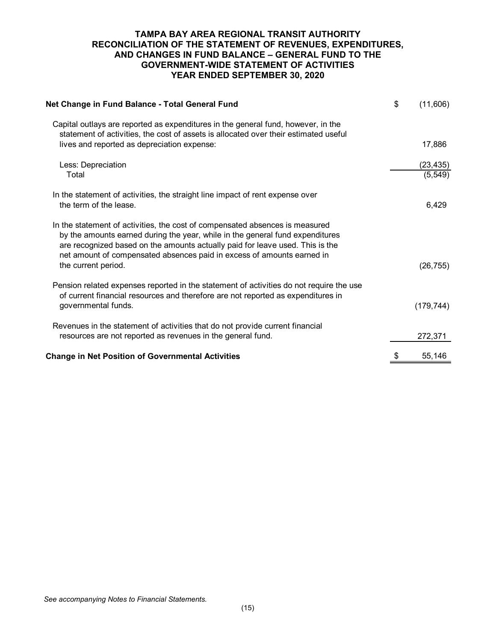#### **TAMPA BAY AREA REGIONAL TRANSIT AUTHORITY RECONCILIATION OF THE STATEMENT OF REVENUES, EXPENDITURES, AND CHANGES IN FUND BALANCE – GENERAL FUND TO THE GOVERNMENT-WIDE STATEMENT OF ACTIVITIES YEAR ENDED SEPTEMBER 30, 2020**

| Net Change in Fund Balance - Total General Fund                                                                                                                                                                                                                                                                                                 | \$<br>(11,606)       |
|-------------------------------------------------------------------------------------------------------------------------------------------------------------------------------------------------------------------------------------------------------------------------------------------------------------------------------------------------|----------------------|
| Capital outlays are reported as expenditures in the general fund, however, in the<br>statement of activities, the cost of assets is allocated over their estimated useful<br>lives and reported as depreciation expense:                                                                                                                        | 17,886               |
| Less: Depreciation<br>Total                                                                                                                                                                                                                                                                                                                     | (23,435)<br>(5, 549) |
| In the statement of activities, the straight line impact of rent expense over<br>the term of the lease.                                                                                                                                                                                                                                         | 6,429                |
| In the statement of activities, the cost of compensated absences is measured<br>by the amounts earned during the year, while in the general fund expenditures<br>are recognized based on the amounts actually paid for leave used. This is the<br>net amount of compensated absences paid in excess of amounts earned in<br>the current period. | (26, 755)            |
| Pension related expenses reported in the statement of activities do not require the use<br>of current financial resources and therefore are not reported as expenditures in<br>governmental funds.                                                                                                                                              | (179, 744)           |
| Revenues in the statement of activities that do not provide current financial<br>resources are not reported as revenues in the general fund.                                                                                                                                                                                                    | 272,371              |
| <b>Change in Net Position of Governmental Activities</b>                                                                                                                                                                                                                                                                                        | 55,146               |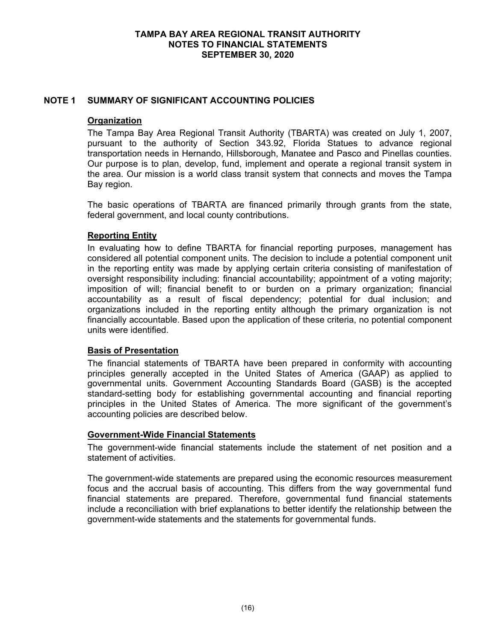# **NOTE 1 SUMMARY OF SIGNIFICANT ACCOUNTING POLICIES**

# **Organization**

The Tampa Bay Area Regional Transit Authority (TBARTA) was created on July 1, 2007, pursuant to the authority of Section 343.92, Florida Statues to advance regional transportation needs in Hernando, Hillsborough, Manatee and Pasco and Pinellas counties. Our purpose is to plan, develop, fund, implement and operate a regional transit system in the area. Our mission is a world class transit system that connects and moves the Tampa Bay region.

The basic operations of TBARTA are financed primarily through grants from the state, federal government, and local county contributions.

# **Reporting Entity**

In evaluating how to define TBARTA for financial reporting purposes, management has considered all potential component units. The decision to include a potential component unit in the reporting entity was made by applying certain criteria consisting of manifestation of oversight responsibility including: financial accountability; appointment of a voting majority; imposition of will; financial benefit to or burden on a primary organization; financial accountability as a result of fiscal dependency; potential for dual inclusion; and organizations included in the reporting entity although the primary organization is not financially accountable. Based upon the application of these criteria, no potential component units were identified.

# **Basis of Presentation**

The financial statements of TBARTA have been prepared in conformity with accounting principles generally accepted in the United States of America (GAAP) as applied to governmental units. Government Accounting Standards Board (GASB) is the accepted standard-setting body for establishing governmental accounting and financial reporting principles in the United States of America. The more significant of the government's accounting policies are described below.

#### **Government-Wide Financial Statements**

The government-wide financial statements include the statement of net position and a statement of activities.

The government-wide statements are prepared using the economic resources measurement focus and the accrual basis of accounting. This differs from the way governmental fund financial statements are prepared. Therefore, governmental fund financial statements include a reconciliation with brief explanations to better identify the relationship between the government-wide statements and the statements for governmental funds.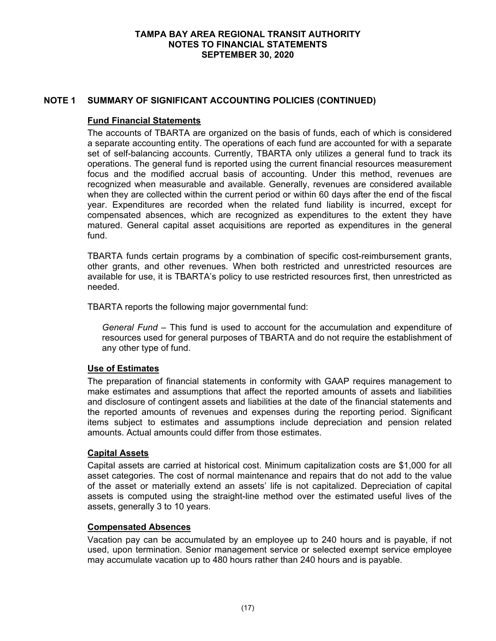# **NOTE 1 SUMMARY OF SIGNIFICANT ACCOUNTING POLICIES (CONTINUED)**

#### **Fund Financial Statements**

The accounts of TBARTA are organized on the basis of funds, each of which is considered a separate accounting entity. The operations of each fund are accounted for with a separate set of self-balancing accounts. Currently, TBARTA only utilizes a general fund to track its operations. The general fund is reported using the current financial resources measurement focus and the modified accrual basis of accounting. Under this method, revenues are recognized when measurable and available. Generally, revenues are considered available when they are collected within the current period or within 60 days after the end of the fiscal year. Expenditures are recorded when the related fund liability is incurred, except for compensated absences, which are recognized as expenditures to the extent they have matured. General capital asset acquisitions are reported as expenditures in the general fund.

TBARTA funds certain programs by a combination of specific cost-reimbursement grants, other grants, and other revenues. When both restricted and unrestricted resources are available for use, it is TBARTA's policy to use restricted resources first, then unrestricted as needed.

TBARTA reports the following major governmental fund:

*General Fund* – This fund is used to account for the accumulation and expenditure of resources used for general purposes of TBARTA and do not require the establishment of any other type of fund.

#### **Use of Estimates**

The preparation of financial statements in conformity with GAAP requires management to make estimates and assumptions that affect the reported amounts of assets and liabilities and disclosure of contingent assets and liabilities at the date of the financial statements and the reported amounts of revenues and expenses during the reporting period. Significant items subject to estimates and assumptions include depreciation and pension related amounts. Actual amounts could differ from those estimates.

#### **Capital Assets**

Capital assets are carried at historical cost. Minimum capitalization costs are \$1,000 for all asset categories. The cost of normal maintenance and repairs that do not add to the value of the asset or materially extend an assets' life is not capitalized. Depreciation of capital assets is computed using the straight-line method over the estimated useful lives of the assets, generally 3 to 10 years.

#### **Compensated Absences**

Vacation pay can be accumulated by an employee up to 240 hours and is payable, if not used, upon termination. Senior management service or selected exempt service employee may accumulate vacation up to 480 hours rather than 240 hours and is payable.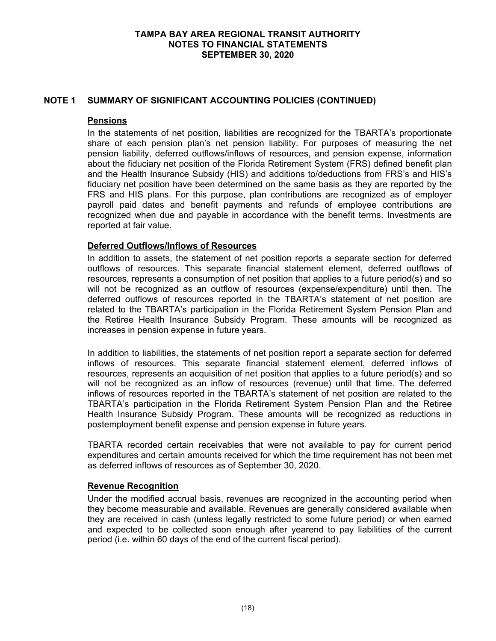# **NOTE 1 SUMMARY OF SIGNIFICANT ACCOUNTING POLICIES (CONTINUED)**

#### **Pensions**

In the statements of net position, liabilities are recognized for the TBARTA's proportionate share of each pension plan's net pension liability. For purposes of measuring the net pension liability, deferred outflows/inflows of resources, and pension expense, information about the fiduciary net position of the Florida Retirement System (FRS) defined benefit plan and the Health Insurance Subsidy (HIS) and additions to/deductions from FRS's and HIS's fiduciary net position have been determined on the same basis as they are reported by the FRS and HIS plans. For this purpose, plan contributions are recognized as of employer payroll paid dates and benefit payments and refunds of employee contributions are recognized when due and payable in accordance with the benefit terms. Investments are reported at fair value.

#### **Deferred Outflows/Inflows of Resources**

In addition to assets, the statement of net position reports a separate section for deferred outflows of resources. This separate financial statement element, deferred outflows of resources, represents a consumption of net position that applies to a future period(s) and so will not be recognized as an outflow of resources (expense/expenditure) until then. The deferred outflows of resources reported in the TBARTA's statement of net position are related to the TBARTA's participation in the Florida Retirement System Pension Plan and the Retiree Health Insurance Subsidy Program. These amounts will be recognized as increases in pension expense in future years.

In addition to liabilities, the statements of net position report a separate section for deferred inflows of resources. This separate financial statement element, deferred inflows of resources, represents an acquisition of net position that applies to a future period(s) and so will not be recognized as an inflow of resources (revenue) until that time. The deferred inflows of resources reported in the TBARTA's statement of net position are related to the TBARTA's participation in the Florida Retirement System Pension Plan and the Retiree Health Insurance Subsidy Program. These amounts will be recognized as reductions in postemployment benefit expense and pension expense in future years.

TBARTA recorded certain receivables that were not available to pay for current period expenditures and certain amounts received for which the time requirement has not been met as deferred inflows of resources as of September 30, 2020.

#### **Revenue Recognition**

Under the modified accrual basis, revenues are recognized in the accounting period when they become measurable and available. Revenues are generally considered available when they are received in cash (unless legally restricted to some future period) or when earned and expected to be collected soon enough after yearend to pay liabilities of the current period (i.e. within 60 days of the end of the current fiscal period).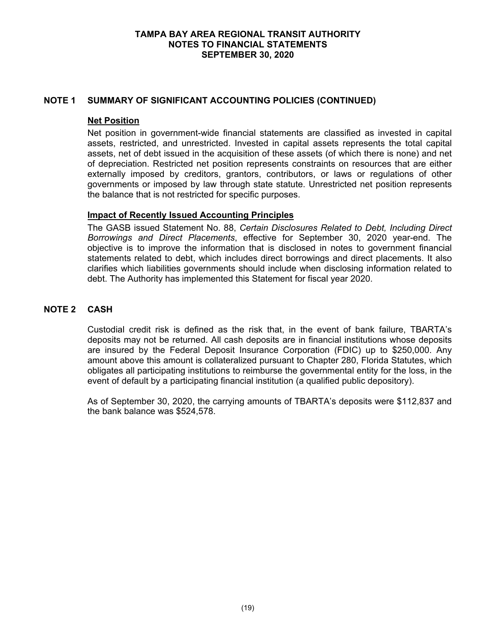# **NOTE 1 SUMMARY OF SIGNIFICANT ACCOUNTING POLICIES (CONTINUED)**

#### **Net Position**

Net position in government-wide financial statements are classified as invested in capital assets, restricted, and unrestricted. Invested in capital assets represents the total capital assets, net of debt issued in the acquisition of these assets (of which there is none) and net of depreciation. Restricted net position represents constraints on resources that are either externally imposed by creditors, grantors, contributors, or laws or regulations of other governments or imposed by law through state statute. Unrestricted net position represents the balance that is not restricted for specific purposes.

#### **Impact of Recently Issued Accounting Principles**

The GASB issued Statement No. 88, *Certain Disclosures Related to Debt, Including Direct Borrowings and Direct Placements*, effective for September 30, 2020 year-end. The objective is to improve the information that is disclosed in notes to government financial statements related to debt, which includes direct borrowings and direct placements. It also clarifies which liabilities governments should include when disclosing information related to debt. The Authority has implemented this Statement for fiscal year 2020.

# **NOTE 2 CASH**

Custodial credit risk is defined as the risk that, in the event of bank failure, TBARTA's deposits may not be returned. All cash deposits are in financial institutions whose deposits are insured by the Federal Deposit Insurance Corporation (FDIC) up to \$250,000. Any amount above this amount is collateralized pursuant to Chapter 280, Florida Statutes, which obligates all participating institutions to reimburse the governmental entity for the loss, in the event of default by a participating financial institution (a qualified public depository).

As of September 30, 2020, the carrying amounts of TBARTA's deposits were \$112,837 and the bank balance was \$524,578.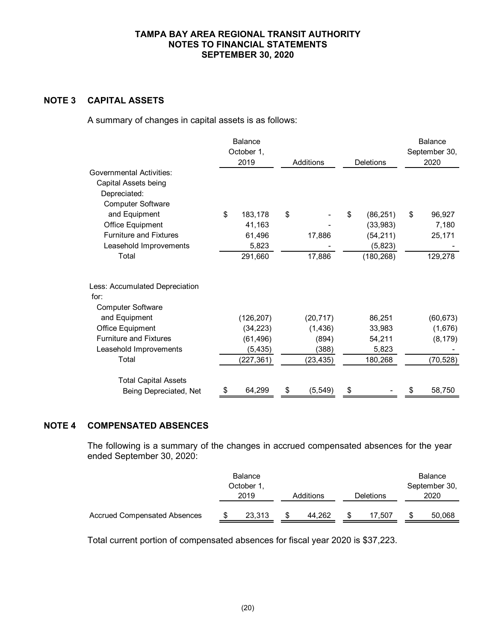# **NOTE 3 CAPITAL ASSETS**

A summary of changes in capital assets is as follows:

|                                 |    | <b>Balance</b><br>October 1,<br>2019 |    | Additions |    | Deletions  |    | <b>Balance</b><br>September 30,<br>2020 |  |
|---------------------------------|----|--------------------------------------|----|-----------|----|------------|----|-----------------------------------------|--|
| <b>Governmental Activities:</b> |    |                                      |    |           |    |            |    |                                         |  |
| Capital Assets being            |    |                                      |    |           |    |            |    |                                         |  |
| Depreciated:                    |    |                                      |    |           |    |            |    |                                         |  |
| <b>Computer Software</b>        |    |                                      |    |           |    |            |    |                                         |  |
| and Equipment                   | \$ | 183,178                              | \$ |           | \$ | (86, 251)  | \$ | 96,927                                  |  |
| Office Equipment                |    | 41,163                               |    |           |    | (33, 983)  |    | 7,180                                   |  |
| <b>Furniture and Fixtures</b>   |    | 61,496                               |    | 17,886    |    | (54, 211)  |    | 25,171                                  |  |
| Leasehold Improvements          |    | 5,823                                |    |           |    | (5,823)    |    |                                         |  |
| Total                           |    | 291,660                              |    | 17,886    |    | (180, 268) |    | 129,278                                 |  |
| Less: Accumulated Depreciation  |    |                                      |    |           |    |            |    |                                         |  |
| for:                            |    |                                      |    |           |    |            |    |                                         |  |
| <b>Computer Software</b>        |    |                                      |    |           |    |            |    |                                         |  |
| and Equipment                   |    | (126, 207)                           |    | (20, 717) |    | 86,251     |    | (60, 673)                               |  |
| Office Equipment                |    | (34, 223)                            |    | (1, 436)  |    | 33,983     |    | (1,676)                                 |  |
| <b>Furniture and Fixtures</b>   |    | (61, 496)                            |    | (894)     |    | 54,211     |    | (8, 179)                                |  |
| Leasehold Improvements          |    | (5, 435)                             |    | (388)     |    | 5,823      |    |                                         |  |
| Total                           |    | (227, 361)                           |    | (23, 435) |    | 180,268    |    | (70, 528)                               |  |
| <b>Total Capital Assets</b>     |    |                                      |    |           |    |            |    |                                         |  |
| Being Depreciated, Net          | \$ | 64,299                               | \$ | (5, 549)  | \$ |            | \$ | 58,750                                  |  |

# **NOTE 4 COMPENSATED ABSENCES**

The following is a summary of the changes in accrued compensated absences for the year ended September 30, 2020:

|                                     | Balance<br>October 1. |           |        |           |        | <b>Balance</b><br>September 30, |
|-------------------------------------|-----------------------|-----------|--------|-----------|--------|---------------------------------|
|                                     | 2019                  | Additions |        | Deletions |        | 2020                            |
| <b>Accrued Compensated Absences</b> | \$<br>23.313          |           | 44.262 |           | 17.507 | 50,068                          |

Total current portion of compensated absences for fiscal year 2020 is \$37,223.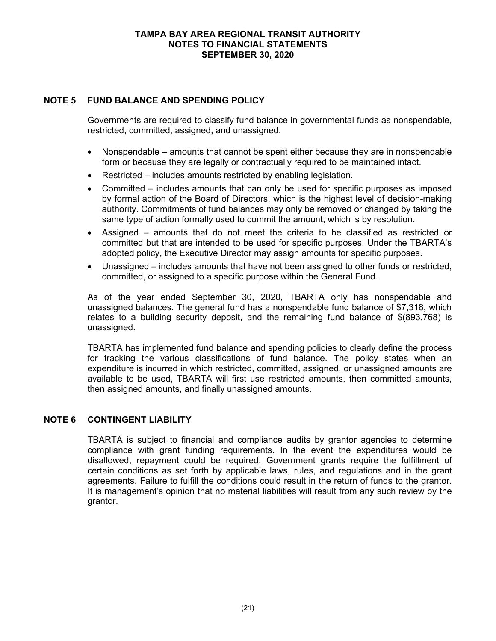# **NOTE 5 FUND BALANCE AND SPENDING POLICY**

Governments are required to classify fund balance in governmental funds as nonspendable, restricted, committed, assigned, and unassigned.

- Nonspendable amounts that cannot be spent either because they are in nonspendable form or because they are legally or contractually required to be maintained intact.
- Restricted includes amounts restricted by enabling legislation.
- Committed includes amounts that can only be used for specific purposes as imposed by formal action of the Board of Directors, which is the highest level of decision-making authority. Commitments of fund balances may only be removed or changed by taking the same type of action formally used to commit the amount, which is by resolution.
- Assigned amounts that do not meet the criteria to be classified as restricted or committed but that are intended to be used for specific purposes. Under the TBARTA's adopted policy, the Executive Director may assign amounts for specific purposes.
- Unassigned includes amounts that have not been assigned to other funds or restricted, committed, or assigned to a specific purpose within the General Fund.

As of the year ended September 30, 2020, TBARTA only has nonspendable and unassigned balances. The general fund has a nonspendable fund balance of \$7,318, which relates to a building security deposit, and the remaining fund balance of \$(893,768) is unassigned.

TBARTA has implemented fund balance and spending policies to clearly define the process for tracking the various classifications of fund balance. The policy states when an expenditure is incurred in which restricted, committed, assigned, or unassigned amounts are available to be used, TBARTA will first use restricted amounts, then committed amounts, then assigned amounts, and finally unassigned amounts.

# **NOTE 6 CONTINGENT LIABILITY**

TBARTA is subject to financial and compliance audits by grantor agencies to determine compliance with grant funding requirements. In the event the expenditures would be disallowed, repayment could be required. Government grants require the fulfillment of certain conditions as set forth by applicable laws, rules, and regulations and in the grant agreements. Failure to fulfill the conditions could result in the return of funds to the grantor. It is management's opinion that no material liabilities will result from any such review by the grantor.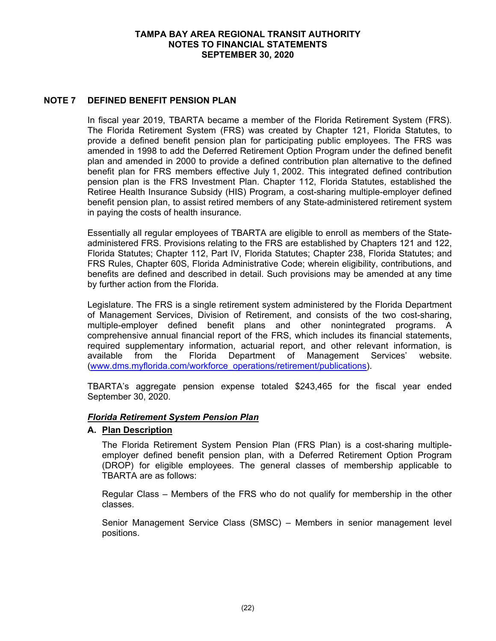# **NOTE 7 DEFINED BENEFIT PENSION PLAN**

In fiscal year 2019, TBARTA became a member of the Florida Retirement System (FRS). The Florida Retirement System (FRS) was created by Chapter 121, Florida Statutes, to provide a defined benefit pension plan for participating public employees. The FRS was amended in 1998 to add the Deferred Retirement Option Program under the defined benefit plan and amended in 2000 to provide a defined contribution plan alternative to the defined benefit plan for FRS members effective July 1, 2002. This integrated defined contribution pension plan is the FRS Investment Plan. Chapter 112, Florida Statutes, established the Retiree Health Insurance Subsidy (HIS) Program, a cost-sharing multiple-employer defined benefit pension plan, to assist retired members of any State-administered retirement system in paying the costs of health insurance.

Essentially all regular employees of TBARTA are eligible to enroll as members of the Stateadministered FRS. Provisions relating to the FRS are established by Chapters 121 and 122, Florida Statutes; Chapter 112, Part IV, Florida Statutes; Chapter 238, Florida Statutes; and FRS Rules, Chapter 60S, Florida Administrative Code; wherein eligibility, contributions, and benefits are defined and described in detail. Such provisions may be amended at any time by further action from the Florida.

Legislature. The FRS is a single retirement system administered by the Florida Department of Management Services, Division of Retirement, and consists of the two cost-sharing, multiple-employer defined benefit plans and other nonintegrated programs. A comprehensive annual financial report of the FRS, which includes its financial statements, required supplementary information, actuarial report, and other relevant information, is available from the Florida Department of Management Services' website. (www.dms.myflorida.com/workforce\_operations/retirement/publications).

TBARTA's aggregate pension expense totaled \$243,465 for the fiscal year ended September 30, 2020.

#### *Florida Retirement System Pension Plan*

#### **A. Plan Description**

The Florida Retirement System Pension Plan (FRS Plan) is a cost-sharing multipleemployer defined benefit pension plan, with a Deferred Retirement Option Program (DROP) for eligible employees. The general classes of membership applicable to TBARTA are as follows:

Regular Class – Members of the FRS who do not qualify for membership in the other classes.

Senior Management Service Class (SMSC) – Members in senior management level positions.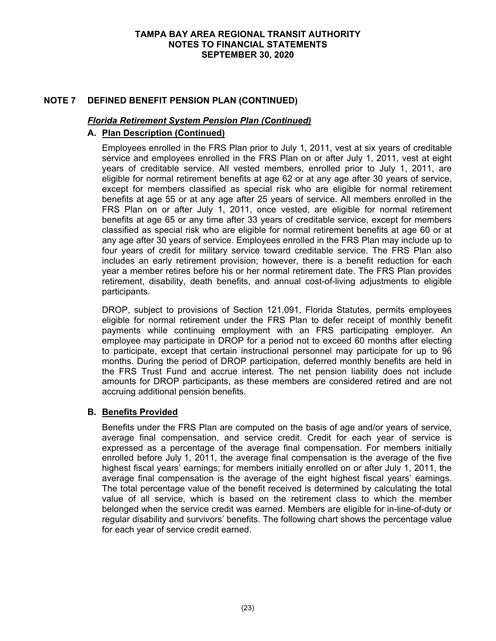# **NOTE 7 DEFINED BENEFIT PENSION PLAN (CONTINUED)**

# *Florida Retirement System Pension Plan (Continued)*

# **A. Plan Description (Continued)**

Employees enrolled in the FRS Plan prior to July 1, 2011, vest at six years of creditable service and employees enrolled in the FRS Plan on or after July 1, 2011, vest at eight years of creditable service. All vested members, enrolled prior to July 1, 2011, are eligible for normal retirement benefits at age 62 or at any age after 30 years of service, except for members classified as special risk who are eligible for normal retirement benefits at age 55 or at any age after 25 years of service. All members enrolled in the FRS Plan on or after July 1, 2011, once vested, are eligible for normal retirement benefits at age 65 or any time after 33 years of creditable service, except for members classified as special risk who are eligible for normal retirement benefits at age 60 or at any age after 30 years of service. Employees enrolled in the FRS Plan may include up to four years of credit for military service toward creditable service. The FRS Plan also includes an early retirement provision; however, there is a benefit reduction for each year a member retires before his or her normal retirement date. The FRS Plan provides retirement, disability, death benefits, and annual cost-of-living adjustments to eligible participants.

DROP, subject to provisions of Section 121.091, Florida Statutes, permits employees eligible for normal retirement under the FRS Plan to defer receipt of monthly benefit payments while continuing employment with an FRS participating employer. An employee may participate in DROP for a period not to exceed 60 months after electing to participate, except that certain instructional personnel may participate for up to 96 months. During the period of DROP participation, deferred monthly benefits are held in the FRS Trust Fund and accrue interest. The net pension liability does not include amounts for DROP participants, as these members are considered retired and are not accruing additional pension benefits.

# **B. Benefits Provided**

Benefits under the FRS Plan are computed on the basis of age and/or years of service, average final compensation, and service credit. Credit for each year of service is expressed as a percentage of the average final compensation. For members initially enrolled before July 1, 2011, the average final compensation is the average of the five highest fiscal years' earnings; for members initially enrolled on or after July 1, 2011, the average final compensation is the average of the eight highest fiscal years' earnings. The total percentage value of the benefit received is determined by calculating the total value of all service, which is based on the retirement class to which the member belonged when the service credit was earned. Members are eligible for in-line-of-duty or regular disability and survivors' benefits. The following chart shows the percentage value for each year of service credit earned.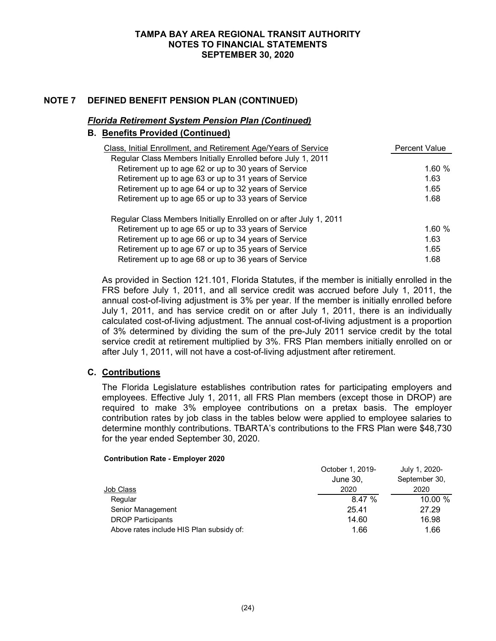# **NOTE 7 DEFINED BENEFIT PENSION PLAN (CONTINUED)**

# *Florida Retirement System Pension Plan (Continued)*  **B. Benefits Provided (Continued)**

| Class, Initial Enrollment, and Retirement Age/Years of Service    | <b>Percent Value</b> |
|-------------------------------------------------------------------|----------------------|
| Regular Class Members Initially Enrolled before July 1, 2011      |                      |
| Retirement up to age 62 or up to 30 years of Service              | 1.60%                |
| Retirement up to age 63 or up to 31 years of Service              | 1.63                 |
| Retirement up to age 64 or up to 32 years of Service              | 1.65                 |
| Retirement up to age 65 or up to 33 years of Service              | 1.68                 |
| Regular Class Members Initially Enrolled on or after July 1, 2011 |                      |
| Retirement up to age 65 or up to 33 years of Service              | 1.60%                |
| Retirement up to age 66 or up to 34 years of Service              | 1.63                 |
| Retirement up to age 67 or up to 35 years of Service              | 1.65                 |
| Retirement up to age 68 or up to 36 years of Service              | 1.68                 |

As provided in Section 121.101, Florida Statutes, if the member is initially enrolled in the FRS before July 1, 2011, and all service credit was accrued before July 1, 2011, the annual cost-of-living adjustment is 3% per year. If the member is initially enrolled before July 1, 2011, and has service credit on or after July 1, 2011, there is an individually calculated cost-of-living adjustment. The annual cost-of-living adjustment is a proportion of 3% determined by dividing the sum of the pre-July 2011 service credit by the total service credit at retirement multiplied by 3%. FRS Plan members initially enrolled on or after July 1, 2011, will not have a cost-of-living adjustment after retirement.

# **C. Contributions**

The Florida Legislature establishes contribution rates for participating employers and employees. Effective July 1, 2011, all FRS Plan members (except those in DROP) are required to make 3% employee contributions on a pretax basis. The employer contribution rates by job class in the tables below were applied to employee salaries to determine monthly contributions. TBARTA's contributions to the FRS Plan were \$48,730 for the year ended September 30, 2020.

#### **Contribution Rate - Employer 2020**

|                                          | OCTODEL 1. ZUT9- | JUIV 1, ZUZU- |
|------------------------------------------|------------------|---------------|
|                                          | June 30.         | September 30, |
| Job Class                                | 2020             | 2020          |
| Regular                                  | 8.47%            | 10.00 %       |
| Senior Management                        | 25.41            | 27.29         |
| <b>DROP Participants</b>                 | 14.60            | 16.98         |
| Above rates include HIS Plan subsidy of: | 1.66             | 1.66          |
|                                          |                  |               |

 $\sim$  1, 2010- July 2020-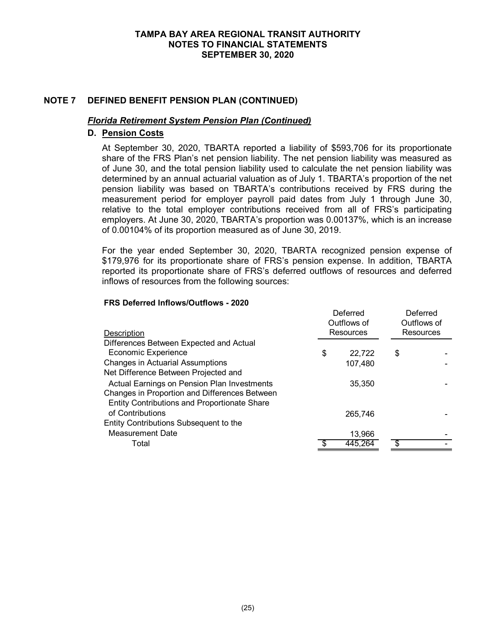# **NOTE 7 DEFINED BENEFIT PENSION PLAN (CONTINUED)**

#### *Florida Retirement System Pension Plan (Continued)*

#### **D. Pension Costs**

At September 30, 2020, TBARTA reported a liability of \$593,706 for its proportionate share of the FRS Plan's net pension liability. The net pension liability was measured as of June 30, and the total pension liability used to calculate the net pension liability was determined by an annual actuarial valuation as of July 1. TBARTA's proportion of the net pension liability was based on TBARTA's contributions received by FRS during the measurement period for employer payroll paid dates from July 1 through June 30, relative to the total employer contributions received from all of FRS's participating employers. At June 30, 2020, TBARTA's proportion was 0.00137%, which is an increase of 0.00104% of its proportion measured as of June 30, 2019.

For the year ended September 30, 2020, TBARTA recognized pension expense of \$179,976 for its proportionate share of FRS's pension expense. In addition, TBARTA reported its proportionate share of FRS's deferred outflows of resources and deferred inflows of resources from the following sources:

#### **FRS Deferred Inflows/Outflows - 2020**

| Description                                                                                  | Deferred<br>Outflows of<br>Resources | Deferred<br>Outflows of<br>Resources |  |
|----------------------------------------------------------------------------------------------|--------------------------------------|--------------------------------------|--|
| Differences Between Expected and Actual                                                      |                                      |                                      |  |
| <b>Economic Experience</b>                                                                   | \$<br>22.722                         | \$                                   |  |
| <b>Changes in Actuarial Assumptions</b>                                                      | 107,480                              |                                      |  |
| Net Difference Between Projected and                                                         |                                      |                                      |  |
| Actual Earnings on Pension Plan Investments<br>Changes in Proportion and Differences Between | 35,350                               |                                      |  |
| <b>Entity Contributions and Proportionate Share</b>                                          |                                      |                                      |  |
| of Contributions                                                                             | 265.746                              |                                      |  |
| Entity Contributions Subsequent to the                                                       |                                      |                                      |  |
| <b>Measurement Date</b>                                                                      | 13,966                               |                                      |  |
| Total                                                                                        | 445,264                              |                                      |  |
|                                                                                              |                                      |                                      |  |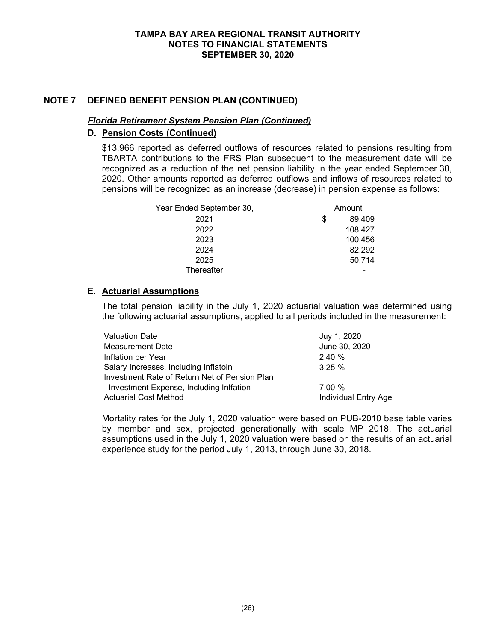# **NOTE 7 DEFINED BENEFIT PENSION PLAN (CONTINUED)**

#### *Florida Retirement System Pension Plan (Continued)*

# **D. Pension Costs (Continued)**

\$13,966 reported as deferred outflows of resources related to pensions resulting from TBARTA contributions to the FRS Plan subsequent to the measurement date will be recognized as a reduction of the net pension liability in the year ended September 30, 2020. Other amounts reported as deferred outflows and inflows of resources related to pensions will be recognized as an increase (decrease) in pension expense as follows:

| Year Ended September 30, | Amount       |
|--------------------------|--------------|
| 2021                     | \$<br>89,409 |
| 2022                     | 108,427      |
| 2023                     | 100,456      |
| 2024                     | 82,292       |
| 2025                     | 50,714       |
| Thereafter               |              |

# **E. Actuarial Assumptions**

The total pension liability in the July 1, 2020 actuarial valuation was determined using the following actuarial assumptions, applied to all periods included in the measurement:

| <b>Valuation Date</b>                         | Juy 1, 2020          |
|-----------------------------------------------|----------------------|
| <b>Measurement Date</b>                       | June 30, 2020        |
| Inflation per Year                            | 2.40%                |
| Salary Increases, Including Inflatoin         | 3.25%                |
| Investment Rate of Return Net of Pension Plan |                      |
| Investment Expense, Including Inifation       | 7.00 %               |
| <b>Actuarial Cost Method</b>                  | Individual Entry Age |

Mortality rates for the July 1, 2020 valuation were based on PUB-2010 base table varies by member and sex, projected generationally with scale MP 2018. The actuarial assumptions used in the July 1, 2020 valuation were based on the results of an actuarial experience study for the period July 1, 2013, through June 30, 2018.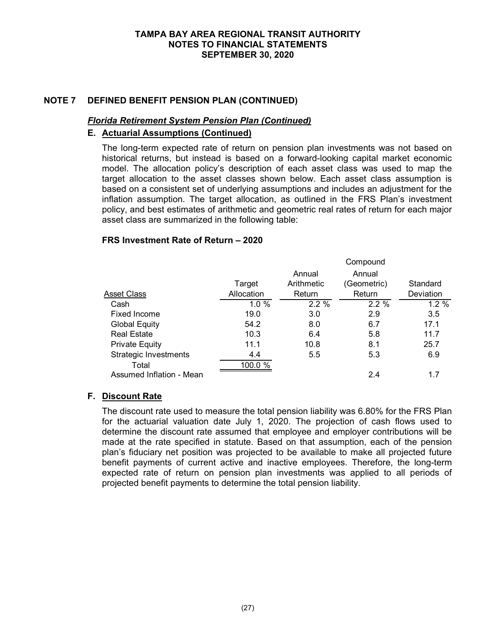# **NOTE 7 DEFINED BENEFIT PENSION PLAN (CONTINUED)**

# *Florida Retirement System Pension Plan (Continued)*  **E. Actuarial Assumptions (Continued)**

The long-term expected rate of return on pension plan investments was not based on historical returns, but instead is based on a forward-looking capital market economic model. The allocation policy's description of each asset class was used to map the target allocation to the asset classes shown below. Each asset class assumption is based on a consistent set of underlying assumptions and includes an adjustment for the inflation assumption. The target allocation, as outlined in the FRS Plan's investment policy, and best estimates of arithmetic and geometric real rates of return for each major asset class are summarized in the following table:

**FRS Investment Rate of Return – 2020** 

|                          |            |                      | <b>OUTTPOUTH</b>      |           |
|--------------------------|------------|----------------------|-----------------------|-----------|
|                          | Target     | Annual<br>Arithmetic | Annual<br>(Geometric) | Standard  |
| Asset Class              | Allocation | Return               | Return                | Deviation |
| Cash                     | 1.0%       | 2.2%                 | 2.2%                  | 1.2%      |
| Fixed Income             | 19.0       | 3.0                  | 2.9                   | 3.5       |
| <b>Global Equity</b>     | 54.2       | 8.0                  | 6.7                   | 17.1      |
| <b>Real Estate</b>       | 10.3       | 6.4                  | 5.8                   | 11.7      |
| <b>Private Equity</b>    | 11.1       | 10.8                 | 8.1                   | 25.7      |
| Strategic Investments    | 4.4        | 5.5                  | 5.3                   | 6.9       |
| Total                    | 100.0 %    |                      |                       |           |
| Assumed Inflation - Mean |            |                      | 2.4                   |           |

Compound

# **F. Discount Rate**

The discount rate used to measure the total pension liability was 6.80% for the FRS Plan for the actuarial valuation date July 1, 2020. The projection of cash flows used to determine the discount rate assumed that employee and employer contributions will be made at the rate specified in statute. Based on that assumption, each of the pension plan's fiduciary net position was projected to be available to make all projected future benefit payments of current active and inactive employees. Therefore, the long-term expected rate of return on pension plan investments was applied to all periods of projected benefit payments to determine the total pension liability.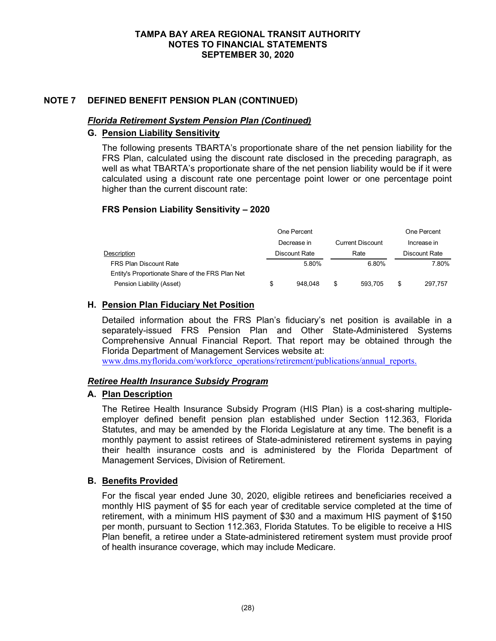# **NOTE 7 DEFINED BENEFIT PENSION PLAN (CONTINUED)**

# *Florida Retirement System Pension Plan (Continued)*

# **G. Pension Liability Sensitivity**

The following presents TBARTA's proportionate share of the net pension liability for the FRS Plan, calculated using the discount rate disclosed in the preceding paragraph, as well as what TBARTA's proportionate share of the net pension liability would be if it were calculated using a discount rate one percentage point lower or one percentage point higher than the current discount rate:

# **FRS Pension Liability Sensitivity – 2020**

|                                                  | One Percent   |             |      |                  |               | One Percent |  |  |
|--------------------------------------------------|---------------|-------------|------|------------------|---------------|-------------|--|--|
|                                                  |               | Decrease in |      | Current Discount | Increase in   |             |  |  |
| Description                                      | Discount Rate |             | Rate |                  | Discount Rate |             |  |  |
| <b>FRS Plan Discount Rate</b>                    |               | 5.80%       |      | 6.80%            |               | 7.80%       |  |  |
| Entity's Proportionate Share of the FRS Plan Net |               |             |      |                  |               |             |  |  |
| Pension Liability (Asset)                        | \$            | 948.048     | \$   | 593.705          | S             | 297.757     |  |  |

# **H. Pension Plan Fiduciary Net Position**

Detailed information about the FRS Plan's fiduciary's net position is available in a separately-issued FRS Pension Plan and Other State-Administered Systems Comprehensive Annual Financial Report. That report may be obtained through the Florida Department of Management Services website at:

www.dms.myflorida.com/workforce\_operations/retirement/publications/annual\_reports.

# *Retiree Health Insurance Subsidy Program*

# **A. Plan Description**

The Retiree Health Insurance Subsidy Program (HIS Plan) is a cost-sharing multipleemployer defined benefit pension plan established under Section 112.363, Florida Statutes, and may be amended by the Florida Legislature at any time. The benefit is a monthly payment to assist retirees of State-administered retirement systems in paying their health insurance costs and is administered by the Florida Department of Management Services, Division of Retirement.

# **B. Benefits Provided**

For the fiscal year ended June 30, 2020, eligible retirees and beneficiaries received a monthly HIS payment of \$5 for each year of creditable service completed at the time of retirement, with a minimum HIS payment of \$30 and a maximum HIS payment of \$150 per month, pursuant to Section 112.363, Florida Statutes. To be eligible to receive a HIS Plan benefit, a retiree under a State-administered retirement system must provide proof of health insurance coverage, which may include Medicare.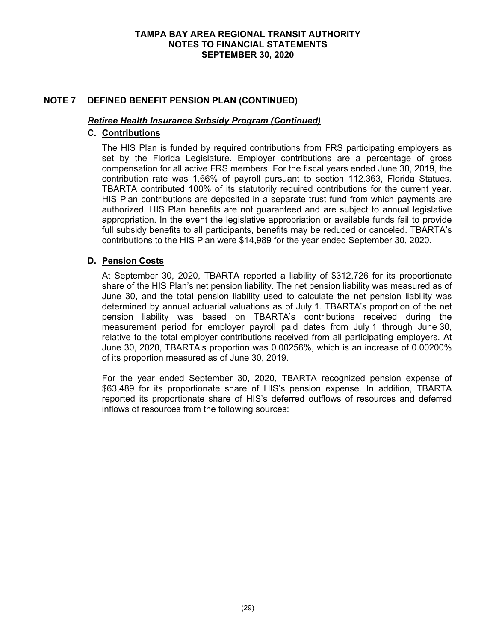# **NOTE 7 DEFINED BENEFIT PENSION PLAN (CONTINUED)**

#### *Retiree Health Insurance Subsidy Program (Continued)*

#### **C. Contributions**

The HIS Plan is funded by required contributions from FRS participating employers as set by the Florida Legislature. Employer contributions are a percentage of gross compensation for all active FRS members. For the fiscal years ended June 30, 2019, the contribution rate was 1.66% of payroll pursuant to section 112.363, Florida Statues. TBARTA contributed 100% of its statutorily required contributions for the current year. HIS Plan contributions are deposited in a separate trust fund from which payments are authorized. HIS Plan benefits are not guaranteed and are subject to annual legislative appropriation. In the event the legislative appropriation or available funds fail to provide full subsidy benefits to all participants, benefits may be reduced or canceled. TBARTA's contributions to the HIS Plan were \$14,989 for the year ended September 30, 2020.

#### **D. Pension Costs**

At September 30, 2020, TBARTA reported a liability of \$312,726 for its proportionate share of the HIS Plan's net pension liability. The net pension liability was measured as of June 30, and the total pension liability used to calculate the net pension liability was determined by annual actuarial valuations as of July 1. TBARTA's proportion of the net pension liability was based on TBARTA's contributions received during the measurement period for employer payroll paid dates from July 1 through June 30, relative to the total employer contributions received from all participating employers. At June 30, 2020, TBARTA's proportion was 0.00256%, which is an increase of 0.00200% of its proportion measured as of June 30, 2019.

For the year ended September 30, 2020, TBARTA recognized pension expense of \$63,489 for its proportionate share of HIS's pension expense. In addition, TBARTA reported its proportionate share of HIS's deferred outflows of resources and deferred inflows of resources from the following sources: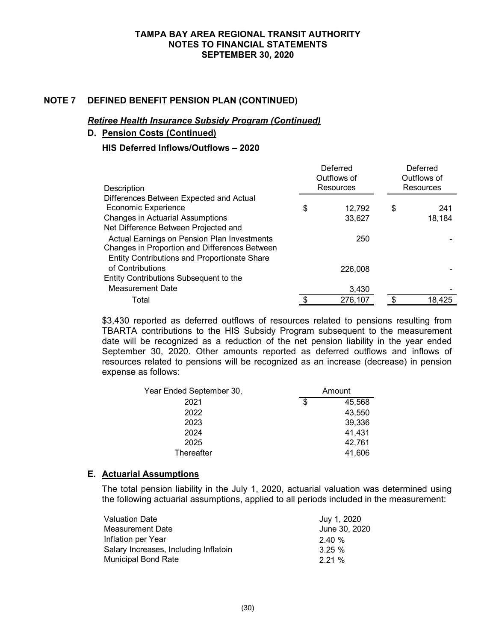#### **NOTE 7 DEFINED BENEFIT PENSION PLAN (CONTINUED)**

#### *Retiree Health Insurance Subsidy Program (Continued)*

#### **D. Pension Costs (Continued)**

#### **HIS Deferred Inflows/Outflows – 2020**

|                                                                                                                                                     | Deferred<br>Outflows of |           |                  | Deferred<br>Outflows of |  |  |
|-----------------------------------------------------------------------------------------------------------------------------------------------------|-------------------------|-----------|------------------|-------------------------|--|--|
| Description                                                                                                                                         |                         | Resources | <b>Resources</b> |                         |  |  |
| Differences Between Expected and Actual                                                                                                             |                         |           |                  |                         |  |  |
| <b>Economic Experience</b>                                                                                                                          | \$                      | 12,792    | \$               | 241                     |  |  |
| <b>Changes in Actuarial Assumptions</b>                                                                                                             |                         | 33,627    |                  | 18,184                  |  |  |
| Net Difference Between Projected and                                                                                                                |                         |           |                  |                         |  |  |
| Actual Earnings on Pension Plan Investments<br>Changes in Proportion and Differences Between<br><b>Entity Contributions and Proportionate Share</b> |                         | 250       |                  |                         |  |  |
| of Contributions                                                                                                                                    |                         | 226,008   |                  |                         |  |  |
| Entity Contributions Subsequent to the                                                                                                              |                         |           |                  |                         |  |  |
| <b>Measurement Date</b>                                                                                                                             |                         | 3,430     |                  |                         |  |  |
| Total                                                                                                                                               |                         | 276,107   |                  | 18.425                  |  |  |

\$3,430 reported as deferred outflows of resources related to pensions resulting from TBARTA contributions to the HIS Subsidy Program subsequent to the measurement date will be recognized as a reduction of the net pension liability in the year ended September 30, 2020. Other amounts reported as deferred outflows and inflows of resources related to pensions will be recognized as an increase (decrease) in pension expense as follows:

| Year Ended September 30, | Amount       |  |  |
|--------------------------|--------------|--|--|
| 2021                     | \$<br>45,568 |  |  |
| 2022                     | 43,550       |  |  |
| 2023                     | 39,336       |  |  |
| 2024                     | 41,431       |  |  |
| 2025                     | 42,761       |  |  |
| Thereafter               | 41,606       |  |  |

#### **E. Actuarial Assumptions**

The total pension liability in the July 1, 2020, actuarial valuation was determined using the following actuarial assumptions, applied to all periods included in the measurement:

| <b>Valuation Date</b>                 | Juy 1, 2020   |
|---------------------------------------|---------------|
| Measurement Date                      | June 30, 2020 |
| Inflation per Year                    | 2.40%         |
| Salary Increases, Including Inflatoin | $3.25 \%$     |
| <b>Municipal Bond Rate</b>            | 2.21%         |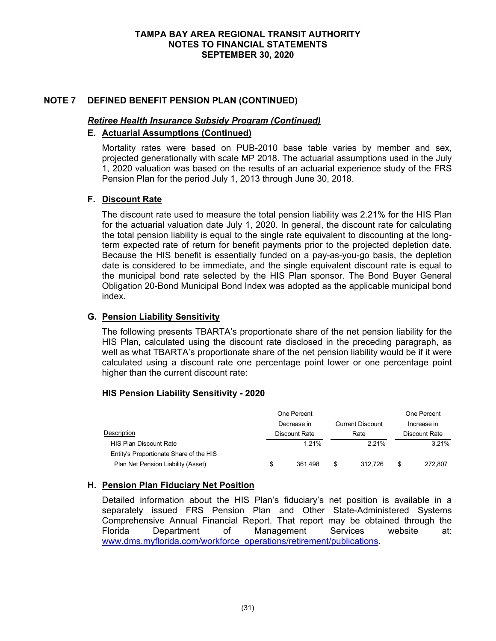# **NOTE 7 DEFINED BENEFIT PENSION PLAN (CONTINUED)**

# *Retiree Health Insurance Subsidy Program (Continued)*

# **E. Actuarial Assumptions (Continued)**

Mortality rates were based on PUB-2010 base table varies by member and sex, projected generationally with scale MP 2018. The actuarial assumptions used in the July 1, 2020 valuation was based on the results of an actuarial experience study of the FRS Pension Plan for the period July 1, 2013 through June 30, 2018.

# **F. Discount Rate**

The discount rate used to measure the total pension liability was 2.21% for the HIS Plan for the actuarial valuation date July 1, 2020. In general, the discount rate for calculating the total pension liability is equal to the single rate equivalent to discounting at the longterm expected rate of return for benefit payments prior to the projected depletion date. Because the HIS benefit is essentially funded on a pay-as-you-go basis, the depletion date is considered to be immediate, and the single equivalent discount rate is equal to the municipal bond rate selected by the HIS Plan sponsor. The Bond Buyer General Obligation 20-Bond Municipal Bond Index was adopted as the applicable municipal bond index.

# **G. Pension Liability Sensitivity**

The following presents TBARTA's proportionate share of the net pension liability for the HIS Plan, calculated using the discount rate disclosed in the preceding paragraph, as well as what TBARTA's proportionate share of the net pension liability would be if it were calculated using a discount rate one percentage point lower or one percentage point higher than the current discount rate:

# **HIS Pension Liability Sensitivity - 2020**

|                                         | One Percent |                       |   | One Percent             |               |             |
|-----------------------------------------|-------------|-----------------------|---|-------------------------|---------------|-------------|
|                                         | Decrease in |                       |   | <b>Current Discount</b> |               | Increase in |
| Description                             |             | Discount Rate<br>Rate |   |                         | Discount Rate |             |
| <b>HIS Plan Discount Rate</b>           |             | 1 2 1 %               |   | 221%                    |               | 3.21%       |
| Entity's Proportionate Share of the HIS |             |                       |   |                         |               |             |
| Plan Net Pension Liability (Asset)      | \$          | 361.498               | S | 312.726                 | S             | 272.807     |

# **H. Pension Plan Fiduciary Net Position**

Detailed information about the HIS Plan's fiduciary's net position is available in a separately issued FRS Pension Plan and Other State-Administered Systems Comprehensive Annual Financial Report. That report may be obtained through the Florida Department of Management Services website at: www.dms.myflorida.com/workforce\_operations/retirement/publications.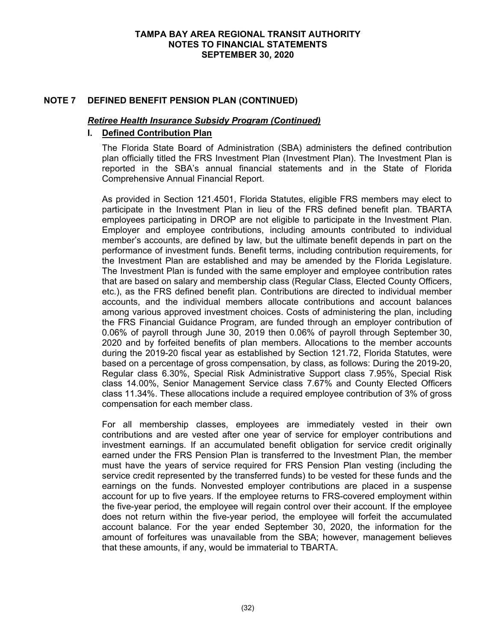# **NOTE 7 DEFINED BENEFIT PENSION PLAN (CONTINUED)**

#### *Retiree Health Insurance Subsidy Program (Continued)*

#### **I. Defined Contribution Plan**

The Florida State Board of Administration (SBA) administers the defined contribution plan officially titled the FRS Investment Plan (Investment Plan). The Investment Plan is reported in the SBA's annual financial statements and in the State of Florida Comprehensive Annual Financial Report.

As provided in Section 121.4501, Florida Statutes, eligible FRS members may elect to participate in the Investment Plan in lieu of the FRS defined benefit plan. TBARTA employees participating in DROP are not eligible to participate in the Investment Plan. Employer and employee contributions, including amounts contributed to individual member's accounts, are defined by law, but the ultimate benefit depends in part on the performance of investment funds. Benefit terms, including contribution requirements, for the Investment Plan are established and may be amended by the Florida Legislature. The Investment Plan is funded with the same employer and employee contribution rates that are based on salary and membership class (Regular Class, Elected County Officers, etc.), as the FRS defined benefit plan. Contributions are directed to individual member accounts, and the individual members allocate contributions and account balances among various approved investment choices. Costs of administering the plan, including the FRS Financial Guidance Program, are funded through an employer contribution of 0.06% of payroll through June 30, 2019 then 0.06% of payroll through September 30, 2020 and by forfeited benefits of plan members. Allocations to the member accounts during the 2019-20 fiscal year as established by Section 121.72, Florida Statutes, were based on a percentage of gross compensation, by class, as follows: During the 2019-20, Regular class 6.30%, Special Risk Administrative Support class 7.95%, Special Risk class 14.00%, Senior Management Service class 7.67% and County Elected Officers class 11.34%. These allocations include a required employee contribution of 3% of gross compensation for each member class.

For all membership classes, employees are immediately vested in their own contributions and are vested after one year of service for employer contributions and investment earnings. If an accumulated benefit obligation for service credit originally earned under the FRS Pension Plan is transferred to the Investment Plan, the member must have the years of service required for FRS Pension Plan vesting (including the service credit represented by the transferred funds) to be vested for these funds and the earnings on the funds. Nonvested employer contributions are placed in a suspense account for up to five years. If the employee returns to FRS-covered employment within the five-year period, the employee will regain control over their account. If the employee does not return within the five-year period, the employee will forfeit the accumulated account balance. For the year ended September 30, 2020, the information for the amount of forfeitures was unavailable from the SBA; however, management believes that these amounts, if any, would be immaterial to TBARTA.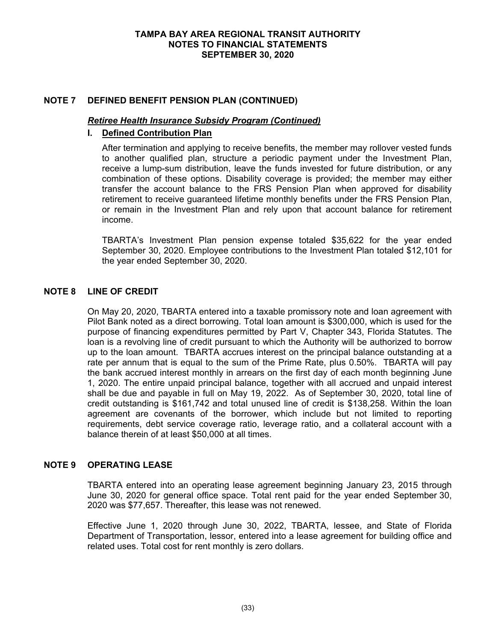# **NOTE 7 DEFINED BENEFIT PENSION PLAN (CONTINUED)**

#### *Retiree Health Insurance Subsidy Program (Continued)*

#### **I. Defined Contribution Plan**

After termination and applying to receive benefits, the member may rollover vested funds to another qualified plan, structure a periodic payment under the Investment Plan, receive a lump-sum distribution, leave the funds invested for future distribution, or any combination of these options. Disability coverage is provided; the member may either transfer the account balance to the FRS Pension Plan when approved for disability retirement to receive guaranteed lifetime monthly benefits under the FRS Pension Plan, or remain in the Investment Plan and rely upon that account balance for retirement income.

TBARTA's Investment Plan pension expense totaled \$35,622 for the year ended September 30, 2020. Employee contributions to the Investment Plan totaled \$12,101 for the year ended September 30, 2020.

#### **NOTE 8 LINE OF CREDIT**

On May 20, 2020, TBARTA entered into a taxable promissory note and loan agreement with Pilot Bank noted as a direct borrowing. Total loan amount is \$300,000, which is used for the purpose of financing expenditures permitted by Part V, Chapter 343, Florida Statutes. The loan is a revolving line of credit pursuant to which the Authority will be authorized to borrow up to the loan amount. TBARTA accrues interest on the principal balance outstanding at a rate per annum that is equal to the sum of the Prime Rate, plus 0.50%. TBARTA will pay the bank accrued interest monthly in arrears on the first day of each month beginning June 1, 2020. The entire unpaid principal balance, together with all accrued and unpaid interest shall be due and payable in full on May 19, 2022. As of September 30, 2020, total line of credit outstanding is \$161,742 and total unused line of credit is \$138,258. Within the loan agreement are covenants of the borrower, which include but not limited to reporting requirements, debt service coverage ratio, leverage ratio, and a collateral account with a balance therein of at least \$50,000 at all times.

#### **NOTE 9 OPERATING LEASE**

TBARTA entered into an operating lease agreement beginning January 23, 2015 through June 30, 2020 for general office space. Total rent paid for the year ended September 30, 2020 was \$77,657. Thereafter, this lease was not renewed.

Effective June 1, 2020 through June 30, 2022, TBARTA, lessee, and State of Florida Department of Transportation, lessor, entered into a lease agreement for building office and related uses. Total cost for rent monthly is zero dollars.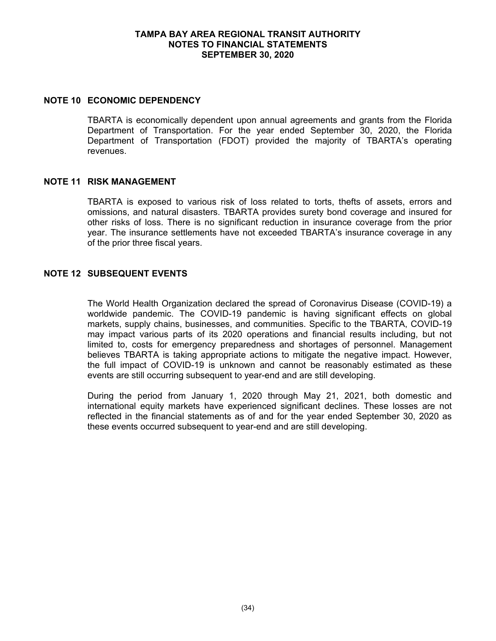#### **NOTE 10 ECONOMIC DEPENDENCY**

TBARTA is economically dependent upon annual agreements and grants from the Florida Department of Transportation. For the year ended September 30, 2020, the Florida Department of Transportation (FDOT) provided the majority of TBARTA's operating revenues.

#### **NOTE 11 RISK MANAGEMENT**

TBARTA is exposed to various risk of loss related to torts, thefts of assets, errors and omissions, and natural disasters. TBARTA provides surety bond coverage and insured for other risks of loss. There is no significant reduction in insurance coverage from the prior year. The insurance settlements have not exceeded TBARTA's insurance coverage in any of the prior three fiscal years.

# **NOTE 12 SUBSEQUENT EVENTS**

The World Health Organization declared the spread of Coronavirus Disease (COVID-19) a worldwide pandemic. The COVID-19 pandemic is having significant effects on global markets, supply chains, businesses, and communities. Specific to the TBARTA, COVID-19 may impact various parts of its 2020 operations and financial results including, but not limited to, costs for emergency preparedness and shortages of personnel. Management believes TBARTA is taking appropriate actions to mitigate the negative impact. However, the full impact of COVID-19 is unknown and cannot be reasonably estimated as these events are still occurring subsequent to year-end and are still developing.

During the period from January 1, 2020 through May 21, 2021, both domestic and international equity markets have experienced significant declines. These losses are not reflected in the financial statements as of and for the year ended September 30, 2020 as these events occurred subsequent to year-end and are still developing.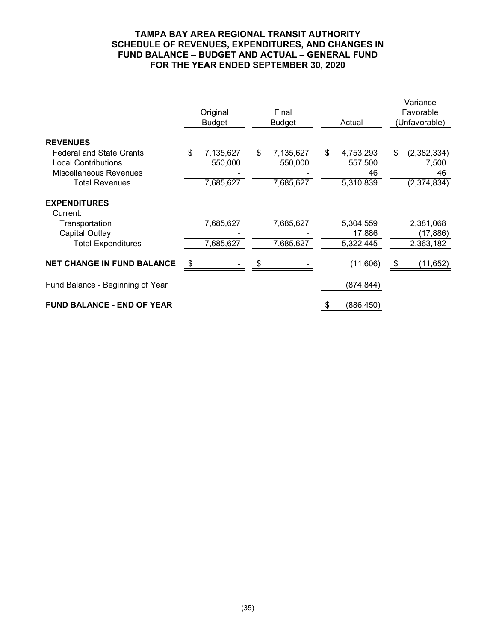# **TAMPA BAY AREA REGIONAL TRANSIT AUTHORITY SCHEDULE OF REVENUES, EXPENDITURES, AND CHANGES IN FUND BALANCE – BUDGET AND ACTUAL – GENERAL FUND FOR THE YEAR ENDED SEPTEMBER 30, 2020**

|                                                                                                                                     | Original<br><b>Budget</b>               | Final<br><b>Budget</b>                  | Actual                                        | Variance<br>Favorable<br>(Unfavorable)          |
|-------------------------------------------------------------------------------------------------------------------------------------|-----------------------------------------|-----------------------------------------|-----------------------------------------------|-------------------------------------------------|
| <b>REVENUES</b><br><b>Federal and State Grants</b><br><b>Local Contributions</b><br>Miscellaneous Revenues<br><b>Total Revenues</b> | \$<br>7,135,627<br>550,000<br>7,685,627 | \$<br>7,135,627<br>550,000<br>7,685,627 | \$<br>4,753,293<br>557,500<br>46<br>5,310,839 | \$<br>(2,382,334)<br>7,500<br>46<br>(2,374,834) |
| <b>EXPENDITURES</b><br>Current:<br>Transportation<br>Capital Outlay<br><b>Total Expenditures</b>                                    | 7,685,627<br>7,685,627                  | 7,685,627<br>7,685,627                  | 5,304,559<br>17,886<br>5,322,445              | 2,381,068<br>(17,886)<br>2,363,182              |
| <b>NET CHANGE IN FUND BALANCE</b>                                                                                                   | \$                                      |                                         | (11,606)                                      | \$<br>(11, 652)                                 |
| Fund Balance - Beginning of Year                                                                                                    |                                         |                                         | (874,844)                                     |                                                 |
| <b>FUND BALANCE - END OF YEAR</b>                                                                                                   |                                         |                                         | (886, 450)                                    |                                                 |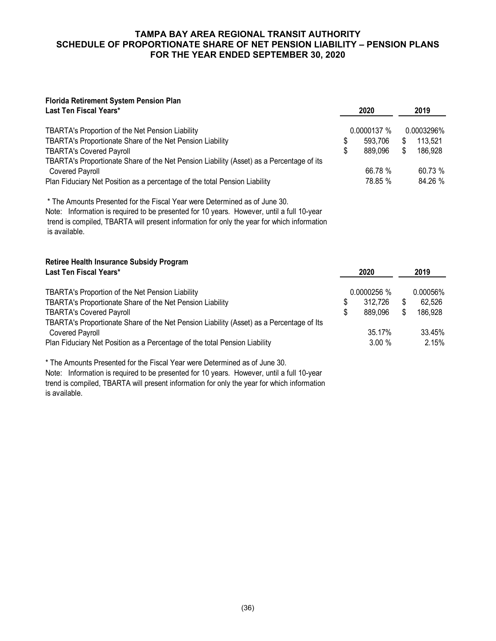#### **TAMPA BAY AREA REGIONAL TRANSIT AUTHORITY SCHEDULE OF PROPORTIONATE SHARE OF NET PENSION LIABILITY – PENSION PLANS FOR THE YEAR ENDED SEPTEMBER 30, 2020**

#### **Florida Retirement System Pension Plan Last Ten Fiscal Years\* 2020 2019**

| LAJI I GII I IJUAI I GAIJ                                                                |   | LULU       | 20 I J     |
|------------------------------------------------------------------------------------------|---|------------|------------|
| TBARTA's Proportion of the Net Pension Liability                                         |   | 0.0000137% | 0.0003296% |
| TBARTA's Proportionate Share of the Net Pension Liability                                |   | 593.706    | 113.521    |
| <b>TBARTA's Covered Payroll</b>                                                          | S | 889.096    | 186.928    |
| TBARTA's Proportionate Share of the Net Pension Liability (Asset) as a Percentage of its |   |            |            |
| Covered Payroll                                                                          |   | 66.78 %    | 60.73 %    |
| Plan Fiduciary Net Position as a percentage of the total Pension Liability               |   | 78.85 %    | 84.26 %    |
|                                                                                          |   |            |            |

\* The Amounts Presented for the Fiscal Year were Determined as of June 30.

Note: Information is required to be presented for 10 years. However, until a full 10-year trend is compiled, TBARTA will present information for only the year for which information is available.

| 2020          |               | 2019     |
|---------------|---------------|----------|
|               |               | 0.00056% |
| \$<br>312.726 |               | 62.526   |
| \$<br>889.096 |               | 186.928  |
|               |               |          |
| 35.17%        |               | 33.45%   |
| 3.00%         |               | 2.15%    |
|               | $0.0000256$ % |          |

\* The Amounts Presented for the Fiscal Year were Determined as of June 30.

Note: Information is required to be presented for 10 years. However, until a full 10-year trend is compiled, TBARTA will present information for only the year for which information is available.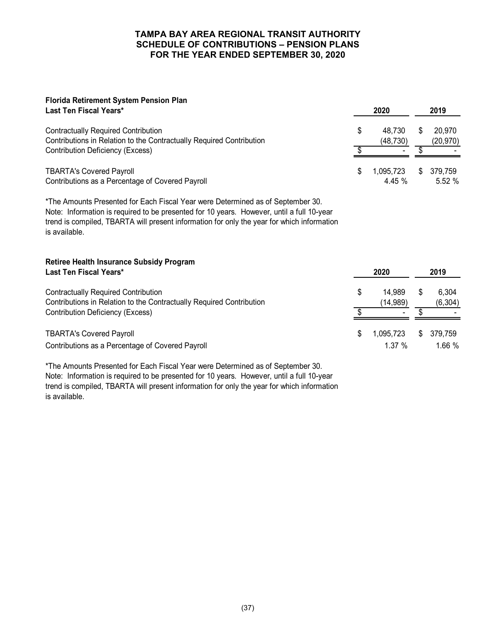# **TAMPA BAY AREA REGIONAL TRANSIT AUTHORITY SCHEDULE OF CONTRIBUTIONS – PENSION PLANS FOR THE YEAR ENDED SEPTEMBER 30, 2020**

# **Florida Retirement System Pension Plan**

| Last Ten Fiscal Years*                                                                                             |   | 2020                     |    | 2019               |
|--------------------------------------------------------------------------------------------------------------------|---|--------------------------|----|--------------------|
| <b>Contractually Required Contribution</b><br>Contributions in Relation to the Contractually Required Contribution | S | 48.730<br>(48, 730)      |    | 20,970<br>(20,970) |
| Contribution Deficiency (Excess)                                                                                   |   | $\overline{\phantom{a}}$ |    |                    |
| <b>TBARTA's Covered Payroll</b><br>Contributions as a Percentage of Covered Payroll                                | S | 1.095.723<br>4.45%       | S. | 379.759<br>5.52%   |

\*The Amounts Presented for Each Fiscal Year were Determined as of September 30. Note: Information is required to be presented for 10 years. However, until a full 10-year trend is compiled, TBARTA will present information for only the year for which information is available.

| Retiree Health Insurance Subsidy Program<br>Last Ten Fiscal Years*                                                                                     | 2020 |                                      |    | 2019              |  |  |
|--------------------------------------------------------------------------------------------------------------------------------------------------------|------|--------------------------------------|----|-------------------|--|--|
| <b>Contractually Required Contribution</b><br>Contributions in Relation to the Contractually Required Contribution<br>Contribution Deficiency (Excess) | \$   | 14.989<br>(14,989)<br>$\blacksquare$ |    | 6.304<br>(6, 304) |  |  |
| <b>TBARTA's Covered Payroll</b><br>Contributions as a Percentage of Covered Payroll                                                                    | S    | 1.095.723<br>1.37%                   | S. | 379.759<br>1.66%  |  |  |

\*The Amounts Presented for Each Fiscal Year were Determined as of September 30. Note: Information is required to be presented for 10 years. However, until a full 10-year trend is compiled, TBARTA will present information for only the year for which information is available.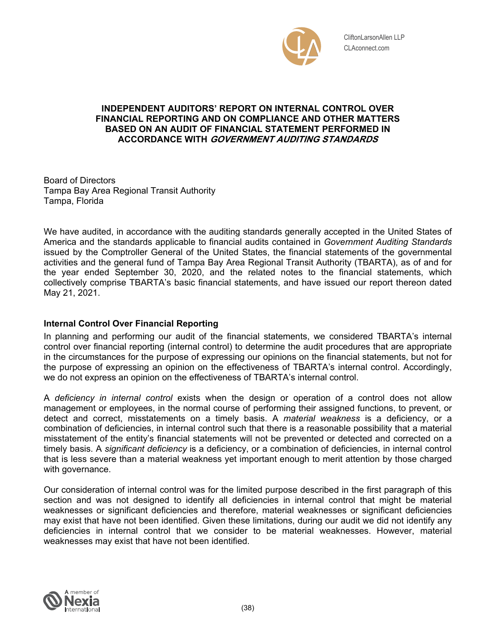

# **INDEPENDENT AUDITORS' REPORT ON INTERNAL CONTROL OVER FINANCIAL REPORTING AND ON COMPLIANCE AND OTHER MATTERS BASED ON AN AUDIT OF FINANCIAL STATEMENT PERFORMED IN ACCORDANCE WITH GOVERNMENT AUDITING STANDARDS**

Board of Directors Tampa Bay Area Regional Transit Authority Tampa, Florida

We have audited, in accordance with the auditing standards generally accepted in the United States of America and the standards applicable to financial audits contained in *Government Auditing Standards*  issued by the Comptroller General of the United States, the financial statements of the governmental activities and the general fund of Tampa Bay Area Regional Transit Authority (TBARTA), as of and for the year ended September 30, 2020, and the related notes to the financial statements, which collectively comprise TBARTA's basic financial statements, and have issued our report thereon dated May 21, 2021.

# **Internal Control Over Financial Reporting**

In planning and performing our audit of the financial statements, we considered TBARTA's internal control over financial reporting (internal control) to determine the audit procedures that are appropriate in the circumstances for the purpose of expressing our opinions on the financial statements, but not for the purpose of expressing an opinion on the effectiveness of TBARTA's internal control. Accordingly, we do not express an opinion on the effectiveness of TBARTA's internal control.

A *deficiency in internal control* exists when the design or operation of a control does not allow management or employees, in the normal course of performing their assigned functions, to prevent, or detect and correct, misstatements on a timely basis. A *material weakness* is a deficiency, or a combination of deficiencies, in internal control such that there is a reasonable possibility that a material misstatement of the entity's financial statements will not be prevented or detected and corrected on a timely basis. A *significant deficiency* is a deficiency, or a combination of deficiencies, in internal control that is less severe than a material weakness yet important enough to merit attention by those charged with governance.

Our consideration of internal control was for the limited purpose described in the first paragraph of this section and was not designed to identify all deficiencies in internal control that might be material weaknesses or significant deficiencies and therefore, material weaknesses or significant deficiencies may exist that have not been identified. Given these limitations, during our audit we did not identify any deficiencies in internal control that we consider to be material weaknesses. However, material weaknesses may exist that have not been identified.

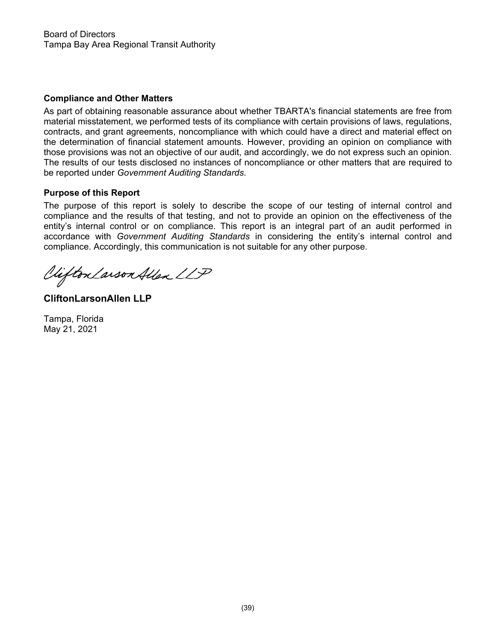# **Compliance and Other Matters**

As part of obtaining reasonable assurance about whether TBARTA's financial statements are free from material misstatement, we performed tests of its compliance with certain provisions of laws, regulations, contracts, and grant agreements, noncompliance with which could have a direct and material effect on the determination of financial statement amounts. However, providing an opinion on compliance with those provisions was not an objective of our audit, and accordingly, we do not express such an opinion. The results of our tests disclosed no instances of noncompliance or other matters that are required to be reported under *Government Auditing Standards*.

#### **Purpose of this Report**

The purpose of this report is solely to describe the scope of our testing of internal control and compliance and the results of that testing, and not to provide an opinion on the effectiveness of the entity's internal control or on compliance. This report is an integral part of an audit performed in accordance with *Government Auditing Standards* in considering the entity's internal control and compliance. Accordingly, this communication is not suitable for any other purpose.

Viifton Larson Allen LLP

**CliftonLarsonAllen LLP** 

Tampa, Florida May 21, 2021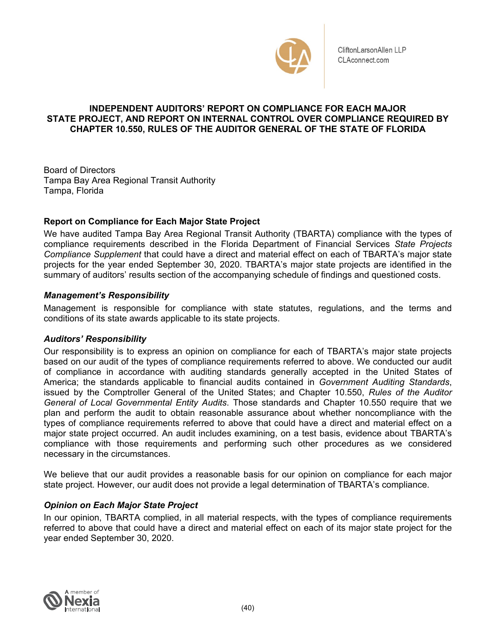

CliftonLarsonAllen LLP CLAconnect.com

# **INDEPENDENT AUDITORS' REPORT ON COMPLIANCE FOR EACH MAJOR STATE PROJECT, AND REPORT ON INTERNAL CONTROL OVER COMPLIANCE REQUIRED BY CHAPTER 10.550, RULES OF THE AUDITOR GENERAL OF THE STATE OF FLORIDA**

Board of Directors Tampa Bay Area Regional Transit Authority Tampa, Florida

# **Report on Compliance for Each Major State Project**

We have audited Tampa Bay Area Regional Transit Authority (TBARTA) compliance with the types of compliance requirements described in the Florida Department of Financial Services *State Projects Compliance Supplement* that could have a direct and material effect on each of TBARTA's major state projects for the year ended September 30, 2020. TBARTA's major state projects are identified in the summary of auditors' results section of the accompanying schedule of findings and questioned costs.

#### *Management's Responsibility*

Management is responsible for compliance with state statutes, regulations, and the terms and conditions of its state awards applicable to its state projects.

# *Auditors' Responsibility*

Our responsibility is to express an opinion on compliance for each of TBARTA's major state projects based on our audit of the types of compliance requirements referred to above. We conducted our audit of compliance in accordance with auditing standards generally accepted in the United States of America; the standards applicable to financial audits contained in *Government Auditing Standards*, issued by the Comptroller General of the United States; and Chapter 10.550, *Rules of the Auditor General of Local Governmental Entity Audits*. Those standards and Chapter 10.550 require that we plan and perform the audit to obtain reasonable assurance about whether noncompliance with the types of compliance requirements referred to above that could have a direct and material effect on a major state project occurred. An audit includes examining, on a test basis, evidence about TBARTA's compliance with those requirements and performing such other procedures as we considered necessary in the circumstances.

We believe that our audit provides a reasonable basis for our opinion on compliance for each major state project. However, our audit does not provide a legal determination of TBARTA's compliance.

# *Opinion on Each Major State Project*

In our opinion, TBARTA complied, in all material respects, with the types of compliance requirements referred to above that could have a direct and material effect on each of its major state project for the year ended September 30, 2020.

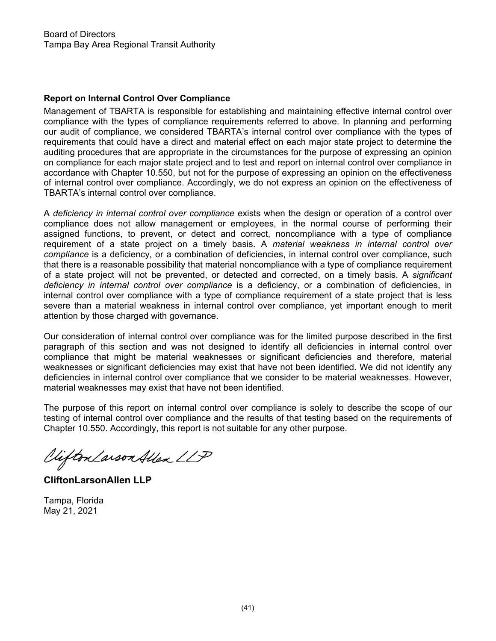# **Report on Internal Control Over Compliance**

Management of TBARTA is responsible for establishing and maintaining effective internal control over compliance with the types of compliance requirements referred to above. In planning and performing our audit of compliance, we considered TBARTA's internal control over compliance with the types of requirements that could have a direct and material effect on each major state project to determine the auditing procedures that are appropriate in the circumstances for the purpose of expressing an opinion on compliance for each major state project and to test and report on internal control over compliance in accordance with Chapter 10.550, but not for the purpose of expressing an opinion on the effectiveness of internal control over compliance. Accordingly, we do not express an opinion on the effectiveness of TBARTA's internal control over compliance.

A *deficiency in internal control over compliance* exists when the design or operation of a control over compliance does not allow management or employees, in the normal course of performing their assigned functions, to prevent, or detect and correct, noncompliance with a type of compliance requirement of a state project on a timely basis. A *material weakness in internal control over compliance* is a deficiency, or a combination of deficiencies, in internal control over compliance, such that there is a reasonable possibility that material noncompliance with a type of compliance requirement of a state project will not be prevented, or detected and corrected, on a timely basis. A *significant deficiency in internal control over compliance* is a deficiency, or a combination of deficiencies, in internal control over compliance with a type of compliance requirement of a state project that is less severe than a material weakness in internal control over compliance, yet important enough to merit attention by those charged with governance.

Our consideration of internal control over compliance was for the limited purpose described in the first paragraph of this section and was not designed to identify all deficiencies in internal control over compliance that might be material weaknesses or significant deficiencies and therefore, material weaknesses or significant deficiencies may exist that have not been identified. We did not identify any deficiencies in internal control over compliance that we consider to be material weaknesses. However, material weaknesses may exist that have not been identified.

The purpose of this report on internal control over compliance is solely to describe the scope of our testing of internal control over compliance and the results of that testing based on the requirements of Chapter 10.550. Accordingly, this report is not suitable for any other purpose.

Viifton Larson Allen LLP

**CliftonLarsonAllen LLP** 

Tampa, Florida May 21, 2021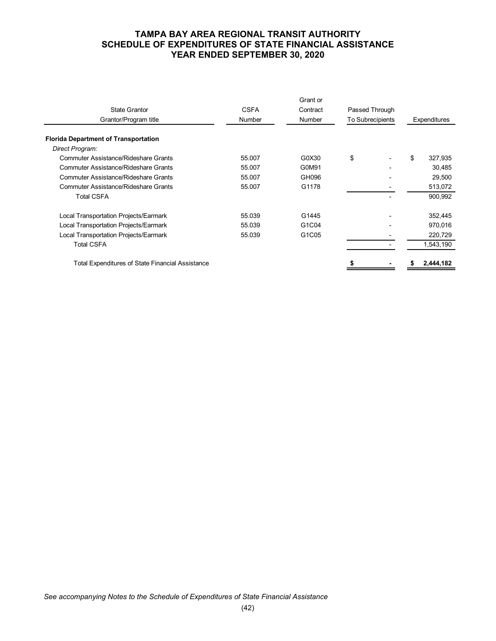# **TAMPA BAY AREA REGIONAL TRANSIT AUTHORITY SCHEDULE OF EXPENDITURES OF STATE FINANCIAL ASSISTANCE YEAR ENDED SEPTEMBER 30, 2020**

| <b>State Grantor</b>                             | <b>CSFA</b>   | Grant or<br>Contract | Passed Through   |               |
|--------------------------------------------------|---------------|----------------------|------------------|---------------|
| Grantor/Program title                            | <b>Number</b> | <b>Number</b>        | To Subrecipients | Expenditures  |
| <b>Florida Department of Transportation</b>      |               |                      |                  |               |
| Direct Program:                                  |               |                      |                  |               |
| Commuter Assistance/Rideshare Grants             | 55.007        | G0X30                | \$               | \$<br>327,935 |
| Commuter Assistance/Rideshare Grants             | 55.007        | G0M91                |                  | 30,485        |
| Commuter Assistance/Rideshare Grants             | 55.007        | GH096                |                  | 29,500        |
| Commuter Assistance/Rideshare Grants             | 55.007        | G1178                |                  | 513,072       |
| <b>Total CSFA</b>                                |               |                      |                  | 900,992       |
| Local Transportation Projects/Earmark            | 55.039        | G1445                |                  | 352,445       |
| Local Transportation Projects/Earmark            | 55.039        | G1C04                |                  | 970,016       |
| Local Transportation Projects/Earmark            | 55.039        | G1C05                |                  | 220,729       |
| <b>Total CSFA</b>                                |               |                      |                  | 1,543,190     |
| Total Expenditures of State Financial Assistance |               |                      |                  | 2,444,182     |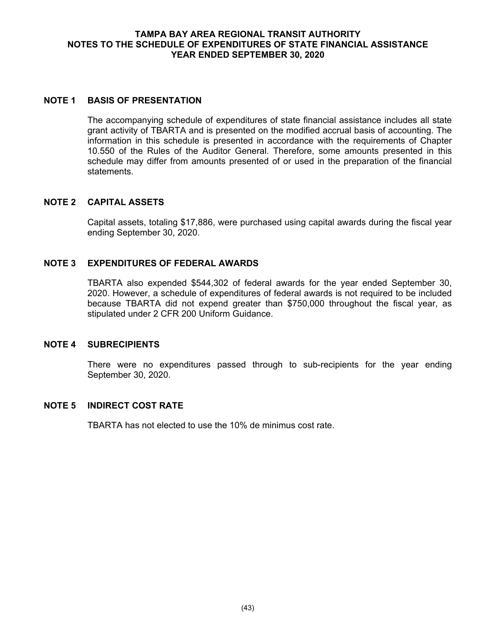#### **TAMPA BAY AREA REGIONAL TRANSIT AUTHORITY NOTES TO THE SCHEDULE OF EXPENDITURES OF STATE FINANCIAL ASSISTANCE YEAR ENDED SEPTEMBER 30, 2020**

#### **NOTE 1 BASIS OF PRESENTATION**

The accompanying schedule of expenditures of state financial assistance includes all state grant activity of TBARTA and is presented on the modified accrual basis of accounting. The information in this schedule is presented in accordance with the requirements of Chapter 10.550 of the Rules of the Auditor General. Therefore, some amounts presented in this schedule may differ from amounts presented of or used in the preparation of the financial statements.

#### **NOTE 2 CAPITAL ASSETS**

Capital assets, totaling \$17,886, were purchased using capital awards during the fiscal year ending September 30, 2020.

#### **NOTE 3 EXPENDITURES OF FEDERAL AWARDS**

TBARTA also expended \$544,302 of federal awards for the year ended September 30, 2020. However, a schedule of expenditures of federal awards is not required to be included because TBARTA did not expend greater than \$750,000 throughout the fiscal year, as stipulated under 2 CFR 200 Uniform Guidance.

#### **NOTE 4 SUBRECIPIENTS**

There were no expenditures passed through to sub-recipients for the year ending September 30, 2020.

# **NOTE 5 INDIRECT COST RATE**

TBARTA has not elected to use the 10% de minimus cost rate.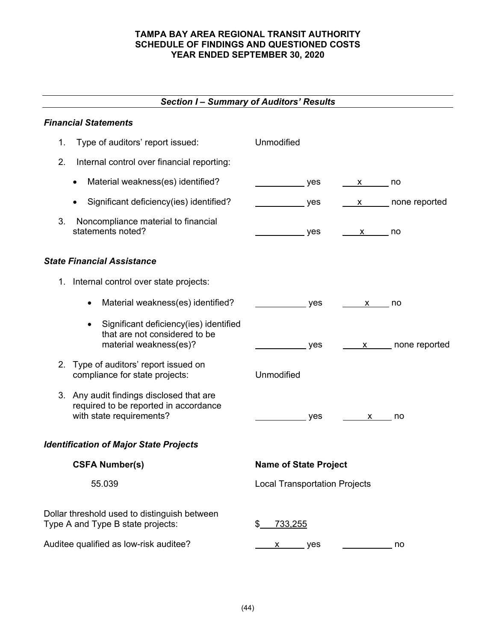# **TAMPA BAY AREA REGIONAL TRANSIT AUTHORITY SCHEDULE OF FINDINGS AND QUESTIONED COSTS YEAR ENDED SEPTEMBER 30, 2020**

# *Section I – Summary of Auditors' Results*

# *Financial Statements*

| 1. | Type of auditors' report issued:                                                                               | Unmodified                                                                                                                                                                                                                                                                                              |                        |
|----|----------------------------------------------------------------------------------------------------------------|---------------------------------------------------------------------------------------------------------------------------------------------------------------------------------------------------------------------------------------------------------------------------------------------------------|------------------------|
| 2. | Internal control over financial reporting:                                                                     |                                                                                                                                                                                                                                                                                                         |                        |
|    | Material weakness(es) identified?<br>$\bullet$                                                                 | $\frac{\mathsf{x}}{\mathsf{x}}$ no                                                                                                                                                                                                                                                                      |                        |
|    | Significant deficiency(ies) identified?<br>$\bullet$                                                           | _________________ yes                                                                                                                                                                                                                                                                                   | x ______ none reported |
| 3. | Noncompliance material to financial<br>statements noted?                                                       | $\frac{\mathsf{x}}{\mathsf{y}}$ no<br>yes                                                                                                                                                                                                                                                               |                        |
|    | <b>State Financial Assistance</b>                                                                              |                                                                                                                                                                                                                                                                                                         |                        |
|    | 1. Internal control over state projects:                                                                       |                                                                                                                                                                                                                                                                                                         |                        |
|    | Material weakness(es) identified?<br>$\bullet$                                                                 | yes<br>x no                                                                                                                                                                                                                                                                                             |                        |
|    | Significant deficiency(ies) identified<br>$\bullet$<br>that are not considered to be<br>material weakness(es)? | _ yes                                                                                                                                                                                                                                                                                                   | x ______ none reported |
|    | 2. Type of auditors' report issued on<br>compliance for state projects:                                        | Unmodified                                                                                                                                                                                                                                                                                              |                        |
|    | 3. Any audit findings disclosed that are<br>required to be reported in accordance<br>with state requirements?  | yes<br>$\mathsf{X}$ and $\mathsf{X}$ and $\mathsf{X}$ are $\mathsf{X}$ and $\mathsf{X}$ are $\mathsf{X}$ and $\mathsf{X}$ are $\mathsf{X}$ and $\mathsf{X}$ are $\mathsf{X}$ and $\mathsf{X}$ are $\mathsf{X}$ and $\mathsf{X}$ are $\mathsf{X}$ and $\mathsf{X}$ are $\mathsf{X}$ and $\mathsf{X}$ are | no                     |
|    | <b>Identification of Major State Projects</b>                                                                  |                                                                                                                                                                                                                                                                                                         |                        |
|    | <b>CSFA Number(s)</b>                                                                                          | <b>Name of State Project</b>                                                                                                                                                                                                                                                                            |                        |
|    | 55.039                                                                                                         | <b>Local Transportation Projects</b>                                                                                                                                                                                                                                                                    |                        |
|    | Dollar threshold used to distinguish between<br>Type A and Type B state projects:                              | \$<br><u>733,255</u>                                                                                                                                                                                                                                                                                    |                        |
|    | Auditee qualified as low-risk auditee?                                                                         | yes<br>X                                                                                                                                                                                                                                                                                                | no                     |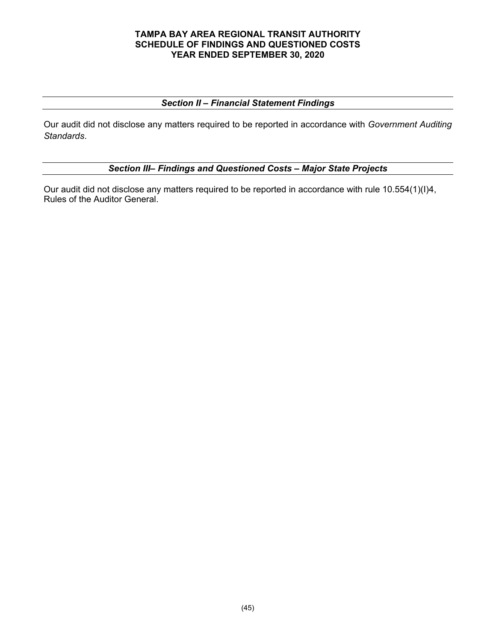# **TAMPA BAY AREA REGIONAL TRANSIT AUTHORITY SCHEDULE OF FINDINGS AND QUESTIONED COSTS YEAR ENDED SEPTEMBER 30, 2020**

# *Section II – Financial Statement Findings*

Our audit did not disclose any matters required to be reported in accordance with *Government Auditing Standards*.

# *Section III– Findings and Questioned Costs – Major State Projects*

Our audit did not disclose any matters required to be reported in accordance with rule 10.554(1)(I)4, Rules of the Auditor General.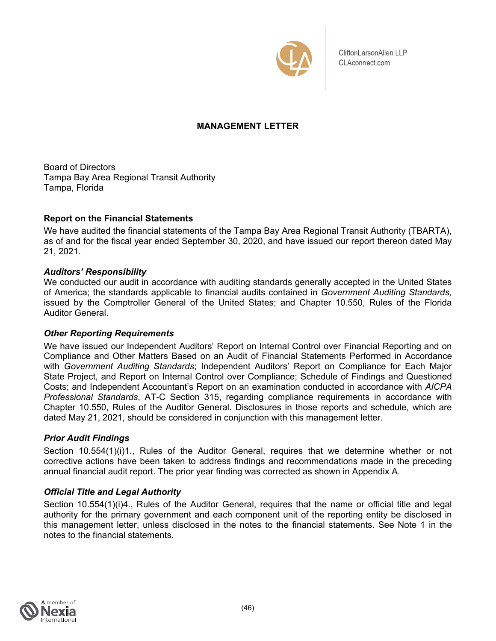

CliftonLarsonAllen LLP CLAconnect.com

# **MANAGEMENT LETTER**

Board of Directors Tampa Bay Area Regional Transit Authority Tampa, Florida

# **Report on the Financial Statements**

We have audited the financial statements of the Tampa Bay Area Regional Transit Authority (TBARTA), as of and for the fiscal year ended September 30, 2020, and have issued our report thereon dated May 21, 2021.

# *Auditors' Responsibility*

We conducted our audit in accordance with auditing standards generally accepted in the United States of America; the standards applicable to financial audits contained in *Government Auditing Standards,* issued by the Comptroller General of the United States; and Chapter 10.550, Rules of the Florida Auditor General.

# *Other Reporting Requirements*

We have issued our Independent Auditors' Report on Internal Control over Financial Reporting and on Compliance and Other Matters Based on an Audit of Financial Statements Performed in Accordance with *Government Auditing Standards*; Independent Auditors' Report on Compliance for Each Major State Project, and Report on Internal Control over Compliance; Schedule of Findings and Questioned Costs; and Independent Accountant's Report on an examination conducted in accordance with *AICPA Professional Standards*, AT-C Section 315, regarding compliance requirements in accordance with Chapter 10.550, Rules of the Auditor General. Disclosures in those reports and schedule, which are dated May 21, 2021, should be considered in conjunction with this management letter.

# *Prior Audit Findings*

Section 10.554(1)(i)1., Rules of the Auditor General, requires that we determine whether or not corrective actions have been taken to address findings and recommendations made in the preceding annual financial audit report. The prior year finding was corrected as shown in Appendix A.

# *Official Title and Legal Authority*

Section 10.554(1)(i)4., Rules of the Auditor General, requires that the name or official title and legal authority for the primary government and each component unit of the reporting entity be disclosed in this management letter, unless disclosed in the notes to the financial statements. See Note 1 in the notes to the financial statements.

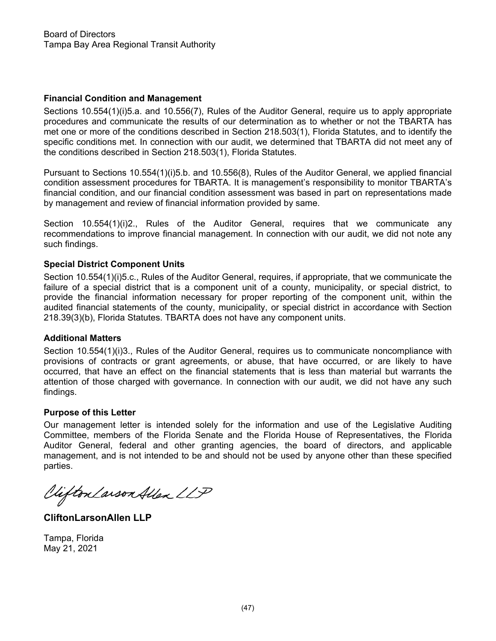#### **Financial Condition and Management**

Sections 10.554(1)(i)5.a. and 10.556(7), Rules of the Auditor General, require us to apply appropriate procedures and communicate the results of our determination as to whether or not the TBARTA has met one or more of the conditions described in Section 218.503(1), Florida Statutes, and to identify the specific conditions met. In connection with our audit, we determined that TBARTA did not meet any of the conditions described in Section 218.503(1), Florida Statutes.

Pursuant to Sections 10.554(1)(i)5.b. and 10.556(8), Rules of the Auditor General, we applied financial condition assessment procedures for TBARTA. It is management's responsibility to monitor TBARTA's financial condition, and our financial condition assessment was based in part on representations made by management and review of financial information provided by same.

Section 10.554(1)(i)2., Rules of the Auditor General, requires that we communicate any recommendations to improve financial management. In connection with our audit, we did not note any such findings.

#### **Special District Component Units**

Section 10.554(1)(i)5.c., Rules of the Auditor General, requires, if appropriate, that we communicate the failure of a special district that is a component unit of a county, municipality, or special district, to provide the financial information necessary for proper reporting of the component unit, within the audited financial statements of the county, municipality, or special district in accordance with Section 218.39(3)(b), Florida Statutes. TBARTA does not have any component units.

#### **Additional Matters**

Section 10.554(1)(i)3., Rules of the Auditor General, requires us to communicate noncompliance with provisions of contracts or grant agreements, or abuse, that have occurred, or are likely to have occurred, that have an effect on the financial statements that is less than material but warrants the attention of those charged with governance. In connection with our audit, we did not have any such findings.

#### **Purpose of this Letter**

Our management letter is intended solely for the information and use of the Legislative Auditing Committee, members of the Florida Senate and the Florida House of Representatives, the Florida Auditor General, federal and other granting agencies, the board of directors, and applicable management, and is not intended to be and should not be used by anyone other than these specified parties.

Clifton Larson Allen LLP

**CliftonLarsonAllen LLP**

Tampa, Florida May 21, 2021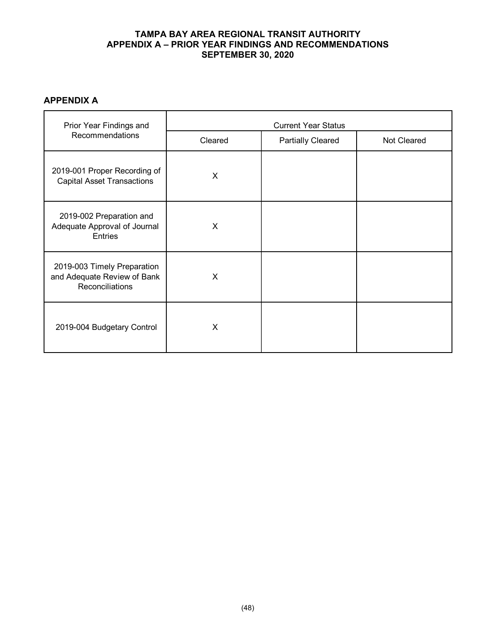# **TAMPA BAY AREA REGIONAL TRANSIT AUTHORITY APPENDIX A – PRIOR YEAR FINDINGS AND RECOMMENDATIONS SEPTEMBER 30, 2020**

# **APPENDIX A**

| Prior Year Findings and                                                       | <b>Current Year Status</b> |                          |             |  |  |  |
|-------------------------------------------------------------------------------|----------------------------|--------------------------|-------------|--|--|--|
| Recommendations                                                               | Cleared                    | <b>Partially Cleared</b> | Not Cleared |  |  |  |
| 2019-001 Proper Recording of<br><b>Capital Asset Transactions</b>             | X                          |                          |             |  |  |  |
| 2019-002 Preparation and<br>Adequate Approval of Journal<br>Entries           | X                          |                          |             |  |  |  |
| 2019-003 Timely Preparation<br>and Adequate Review of Bank<br>Reconciliations | X                          |                          |             |  |  |  |
| 2019-004 Budgetary Control                                                    | X                          |                          |             |  |  |  |